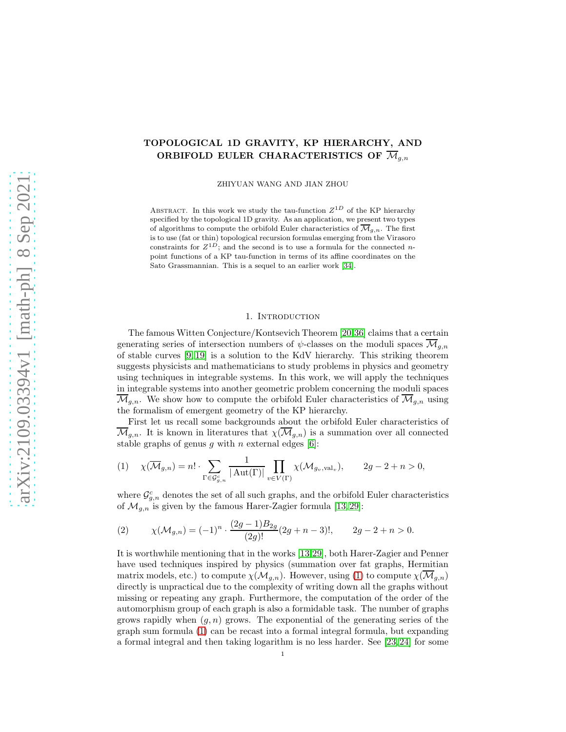## TOPOLOGICAL 1D GRAVITY, KP HIERARCHY, AND ORBIFOLD EULER CHARACTERISTICS OF  $\overline{\mathcal{M}}_{q,n}$

ZHIYUAN WANG AND JIAN ZHOU

ABSTRACT. In this work we study the tau-function  $Z^{1D}$  of the KP hierarchy specified by the topological 1D gravity. As an application, we present two types of algorithms to compute the orbifold Euler characteristics of  $\overline{\mathcal{M}}_{g,n}$ . The first is to use (fat or thin) topological recursion formulas emerging from the Virasoro constraints for  $Z^{1D}$ ; and the second is to use a formula for the connected npoint functions of a KP tau-function in terms of its affine coordinates on the Sato Grassmannian. This is a sequel to an earlier work [\[34\]](#page-31-0).

#### 1. Introduction

The famous Witten Conjecture/Kontsevich Theorem [\[20](#page-31-1)[,36\]](#page-31-2) claims that a certain generating series of intersection numbers of  $\psi$ -classes on the moduli spaces  $\overline{\mathcal{M}}_{q,n}$ of stable curves [\[9,](#page-30-0) [19\]](#page-31-3) is a solution to the KdV hierarchy. This striking theorem suggests physicists and mathematicians to study problems in physics and geometry using techniques in integrable systems. In this work, we will apply the techniques in integrable systems into another geometric problem concerning the moduli spaces  $\overline{\mathcal{M}}_{q,n}$ . We show how to compute the orbifold Euler characteristics of  $\overline{\mathcal{M}}_{q,n}$  using the formalism of emergent geometry of the KP hierarchy.

First let us recall some backgrounds about the orbifold Euler characteristics of  $\overline{\mathcal{M}}_{q,n}$ . It is known in literatures that  $\chi(\overline{\mathcal{M}}_{q,n})$  is a summation over all connected stable graphs of genus q with n external edges  $[6]$ :

<span id="page-0-0"></span>
$$
(1) \quad \chi(\overline{\mathcal{M}}_{g,n}) = n! \cdot \sum_{\Gamma \in \mathcal{G}_{g,n}^c} \frac{1}{|\operatorname{Aut}(\Gamma)|} \prod_{v \in V(\Gamma)} \chi(\mathcal{M}_{g_v, \operatorname{val}_v}), \qquad 2g - 2 + n > 0,
$$

where  $\mathcal{G}^c_{g,n}$  denotes the set of all such graphs, and the orbifold Euler characteristics of  $\mathcal{M}_{g,n}$  is given by the famous Harer-Zagier formula [\[13,](#page-31-4) [29\]](#page-31-5):

<span id="page-0-1"></span>(2) 
$$
\chi(\mathcal{M}_{g,n}) = (-1)^n \cdot \frac{(2g-1)B_{2g}}{(2g)!} (2g+n-3)!, \qquad 2g-2+n>0.
$$

It is worthwhile mentioning that in the works [\[13,](#page-31-4)[29\]](#page-31-5), both Harer-Zagier and Penner have used techniques inspired by physics (summation over fat graphs, Hermitian matrix models, etc.) to compute  $\chi(M_{g,n})$ . However, using [\(1\)](#page-0-0) to compute  $\chi(\overline{\mathcal{M}}_{g,n})$ directly is unpractical due to the complexity of writing down all the graphs without missing or repeating any graph. Furthermore, the computation of the order of the automorphism group of each graph is also a formidable task. The number of graphs grows rapidly when  $(g, n)$  grows. The exponential of the generating series of the graph sum formula [\(1\)](#page-0-0) can be recast into a formal integral formula, but expanding a formal integral and then taking logarithm is no less harder. See [\[23,](#page-31-6) [24\]](#page-31-7) for some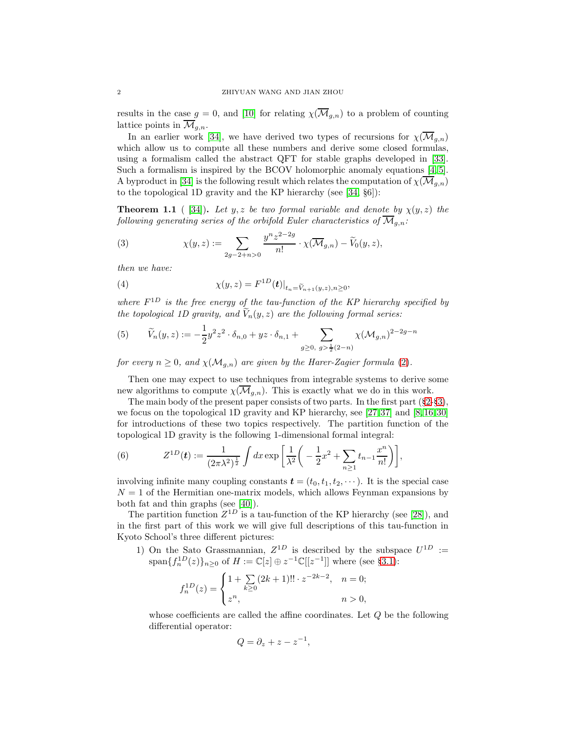results in the case  $g = 0$ , and [\[10\]](#page-30-2) for relating  $\chi(\overline{\mathcal{M}}_{g,n})$  to a problem of counting lattice points in  $\overline{\mathcal{M}}_{g,n}$ .

In an earlier work [\[34\]](#page-31-0), we have derived two types of recursions for  $\chi(\overline{\mathcal{M}}_{g,n})$ which allow us to compute all these numbers and derive some closed formulas, using a formalism called the abstract QFT for stable graphs developed in [\[33\]](#page-31-8). Such a formalism is inspired by the BCOV holomorphic anomaly equations [\[4,](#page-30-3) [5\]](#page-30-4). A byproduct in [\[34\]](#page-31-0) is the following result which relates the computation of  $\chi(\overline{\mathcal{M}}_{g,n})$ to the topological 1D gravity and the KP hierarchy (see [\[34,](#page-31-0) §6]):

**Theorem 1.1** ( [\[34\]](#page-31-0)). Let y, z be two formal variable and denote by  $\chi(y, z)$  the following generating series of the orbifold Euler characteristics of  $\overline{\mathcal{M}}_{g,n}$ :

<span id="page-1-1"></span>(3) 
$$
\chi(y, z) := \sum_{2g-2+n>0} \frac{y^{n} z^{2-2g}}{n!} \cdot \chi(\overline{\mathcal{M}}_{g,n}) - \widetilde{V}_0(y, z),
$$

then we have:

(4) 
$$
\chi(y, z) = F^{1D}(t)|_{t_n = \widetilde{V}_{n+1}(y, z), n \ge 0},
$$

where  $F^{1D}$  is the free energy of the tau-function of the KP hierarchy specified by the topological 1D gravity, and  $V_n(y, z)$  are the following formal series:

<span id="page-1-0"></span>(5) 
$$
\widetilde{V}_n(y, z) := -\frac{1}{2} y^2 z^2 \cdot \delta_{n,0} + yz \cdot \delta_{n,1} + \sum_{g \ge 0, \ g > \frac{1}{2}(2-n)} \chi(\mathcal{M}_{g,n})^{2-2g-n}
$$

for every  $n \geq 0$ , and  $\chi(M_{g,n})$  are given by the Harer-Zagier formula [\(2\)](#page-0-1).

Then one may expect to use techniques from integrable systems to derive some new algorithms to compute  $\chi(\overline{\mathcal{M}}_{g,n})$ . This is exactly what we do in this work.

The main body of the present paper consists of two parts. In the first part (§[2-](#page-3-0)§[3\)](#page-9-0), we focus on the topological 1D gravity and KP hierarchy, see [\[27,](#page-31-9) [37\]](#page-31-10) and [\[8,](#page-30-5) [16,](#page-31-11) [30\]](#page-31-12) for introductions of these two topics respectively. The partition function of the topological 1D gravity is the following 1-dimensional formal integral:

(6) 
$$
Z^{1D}(t) := \frac{1}{(2\pi\lambda^2)^{\frac{1}{2}}} \int dx \exp\left[\frac{1}{\lambda^2}\left(-\frac{1}{2}x^2 + \sum_{n\geq 1} t_{n-1} \frac{x^n}{n!}\right)\right],
$$

involving infinite many coupling constants  $\mathbf{t} = (t_0, t_1, t_2, \cdots)$ . It is the special case  $N = 1$  of the Hermitian one-matrix models, which allows Feynman expansions by both fat and thin graphs (see [\[40\]](#page-31-13)).

The partition function  $Z^{1D}$  is a tau-function of the KP hierarchy (see [\[28\]](#page-31-14)), and in the first part of this work we will give full descriptions of this tau-function in Kyoto School's three different pictures:

1) On the Sato Grassmannian,  $Z^{1D}$  is described by the subspace  $U^{1D}$  :=  $\text{span}\{f_n^{1D}(z)\}_{n\geq 0}$  of  $H := \mathbb{C}[z] \oplus z^{-1}\mathbb{C}[[z^{-1}]]$  where (see §[3.1\)](#page-10-0):

$$
f_n^{1D}(z) = \begin{cases} 1 + \sum_{k \geq 0} (2k+1)!! \cdot z^{-2k-2}, & n = 0; \\ z^n, & n > 0, \end{cases}
$$

whose coefficients are called the affine coordinates. Let  $Q$  be the following differential operator:

$$
Q = \partial_z + z - z^{-1},
$$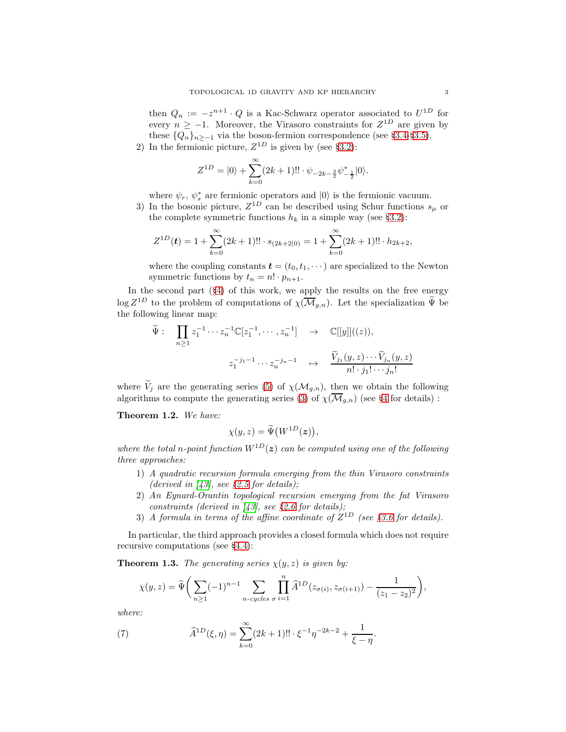then  $Q_n := -z^{n+1} \cdot Q$  is a Kac-Schwarz operator associated to  $U^{1D}$  for every  $n \ge -1$ . Moreover, the Virasoro constraints for  $Z^{1D}$  are given by these  $\{Q_n\}_{n>-1}$  via the boson-fermion correspondence (see §[3.4-](#page-12-0)§[3.5\)](#page-13-0).

2) In the fermionic picture,  $Z^{1D}$  is given by (see §[3.2\)](#page-11-0):

$$
Z^{1D} = |0\rangle + \sum_{k=0}^{\infty} (2k+1)!! \cdot \psi_{-2k-\frac{3}{2}} \psi_{-\frac{1}{2}}^* |0\rangle.
$$

where  $\psi_r$ ,  $\psi_s^*$  are fermionic operators and  $|0\rangle$  is the fermionic vacuum.

3) In the bosonic picture,  $Z^{1D}$  can be described using Schur functions  $s_{\mu}$  or the complete symmetric functions  $h_k$  in a simple way (see §[3.2\)](#page-11-0):

$$
Z^{1D}(t) = 1 + \sum_{k=0}^{\infty} (2k+1)!! \cdot s_{(2k+2|0)} = 1 + \sum_{k=0}^{\infty} (2k+1)!! \cdot h_{2k+2},
$$

where the coupling constants  $\boldsymbol{t} = (t_0, t_1, \dots)$  are specialized to the Newton symmetric functions by  $t_n = n! \cdot p_{n+1}$ .

In the second part (§[4\)](#page-17-0) of this work, we apply the results on the free energy  $\log Z^{1D}$  to the problem of computations of  $\chi(\overline{\mathcal{M}}_{g,n})$ . Let the specialization  $\tilde{\Psi}$  be the following linear map:

$$
\widetilde{\Psi}: \prod_{n\geq 1} z_1^{-1} \cdots z_n^{-1} \mathbb{C}[z_1^{-1}, \cdots, z_n^{-1}] \rightarrow \mathbb{C}[[y]]((z)),
$$
\n
$$
z_1^{-j_1-1} \cdots z_n^{-j_n-1} \mapsto \frac{\widetilde{V}_{j_1}(y, z) \cdots \widetilde{V}_{j_n}(y, z)}{n! \cdot j_1! \cdots j_n!}
$$

where  $V_i$  are the generating series [\(5\)](#page-1-0) of  $\chi(M_{g,n})$ , then we obtain the following algorithms to compute the generating series [\(3\)](#page-1-1) of  $\chi(\overline{\mathcal{M}}_{g,n})$  (see §[4](#page-17-0) for details):

Theorem 1.2. We have:

$$
\chi(y,z) = \widetilde{\Psi}(W^{1D}(z)),
$$

where the total n-point function  $W^{1D}(z)$  can be computed using one of the following three approaches:

- 1) A quadratic recursion formula emerging from the thin Virasoro constraints (derived in  $[43]$ , see §[2.5](#page-7-0) for details);
- 2) An Eynard-Orantin topological recursion emerging from the fat Virasoro constraints (derived in  $[43]$ , see §[2.6](#page-8-0) for details);
- 3) A formula in terms of the affine coordinate of  $Z^{1D}$  (see §[3.6](#page-14-0) for details).

In particular, the third approach provides a closed formula which does not require recursive computations (see §[4.4\)](#page-20-0):

**Theorem 1.3.** The generating series  $\chi(y, z)$  is given by:

$$
\chi(y, z) = \tilde{\Psi}\bigg(\sum_{n\geq 1} (-1)^{n-1} \sum_{n-cycles \space \sigma} \prod_{i=1}^n \hat{A}^{1D}(z_{\sigma(i)}, z_{\sigma(i+1)}) - \frac{1}{(z_1 - z_2)^2}\bigg),
$$

where:

(7) 
$$
\widehat{A}^{1D}(\xi,\eta) = \sum_{k=0}^{\infty} (2k+1)!! \cdot \xi^{-1} \eta^{-2k-2} + \frac{1}{\xi - \eta}.
$$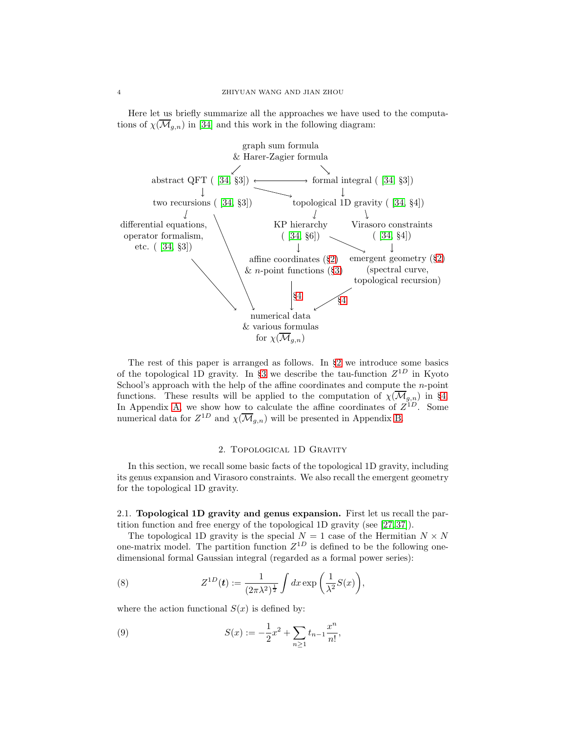Here let us briefly summarize all the approaches we have used to the computations of  $\chi(\overline{\mathcal{M}}_{g,n})$  in [\[34\]](#page-31-0) and this work in the following diagram:



The rest of this paper is arranged as follows. In §[2](#page-3-0) we introduce some basics of the topological 1D gravity. In §[3](#page-9-0) we describe the tau-function  $Z^{1D}$  in Kyoto School's approach with the help of the affine coordinates and compute the  $n$ -point functions. These results will be applied to the computation of  $\chi(\overline{\mathcal{M}}_{g,n})$  in §[4.](#page-17-0) In Appendix [A,](#page-22-0) we show how to calculate the affine coordinates of  $Z^{1D}$ . Some numerical data for  $Z^{1D}$  and  $\chi(\overline{\mathcal{M}}_{g,n})$  will be presented in Appendix [B.](#page-27-0)

### 2. Topological 1D Gravity

<span id="page-3-0"></span>In this section, we recall some basic facts of the topological 1D gravity, including its genus expansion and Virasoro constraints. We also recall the emergent geometry for the topological 1D gravity.

2.1. Topological 1D gravity and genus expansion. First let us recall the partition function and free energy of the topological 1D gravity (see [\[27,](#page-31-9) [37\]](#page-31-10)).

The topological 1D gravity is the special  $N = 1$  case of the Hermitian  $N \times N$ one-matrix model. The partition function  $Z^{1D}$  is defined to be the following onedimensional formal Gaussian integral (regarded as a formal power series):

<span id="page-3-1"></span>(8) 
$$
Z^{1D}(\boldsymbol{t}) := \frac{1}{(2\pi\lambda^2)^{\frac{1}{2}}} \int dx \exp\left(\frac{1}{\lambda^2}S(x)\right),
$$

where the action functional  $S(x)$  is defined by:

(9) 
$$
S(x) := -\frac{1}{2}x^2 + \sum_{n\geq 1} t_{n-1} \frac{x^n}{n!},
$$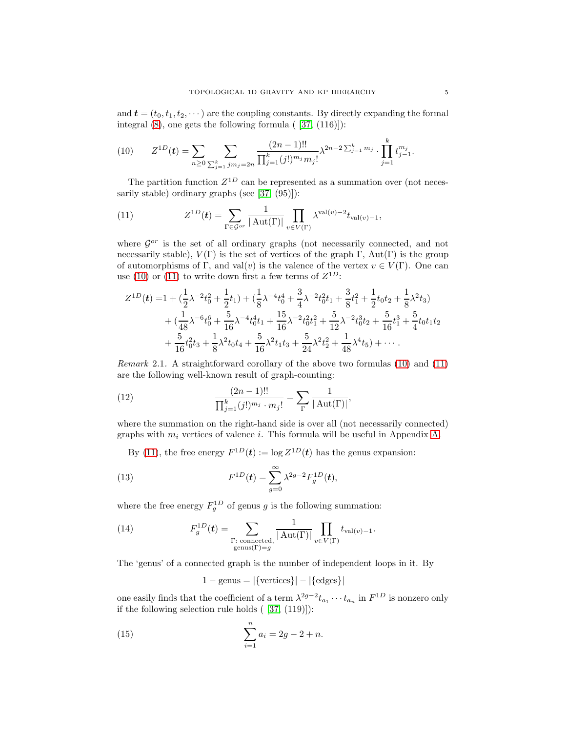and  $\mathbf{t} = (t_0, t_1, t_2, \cdots)$  are the coupling constants. By directly expanding the formal integral  $(8)$ , one gets the following formula  $(37, (116))$ :

<span id="page-4-0"></span>(10) 
$$
Z^{1D}(t) = \sum_{n \geq 0} \sum_{\sum_{j=1}^k j m_j = 2n} \frac{(2n-1)!!}{\prod_{j=1}^k (j!)^{m_j} m_j!} \lambda^{2n-2 \sum_{j=1}^k m_j} \cdot \prod_{j=1}^k t_{j-1}^{m_j}.
$$

The partition function  $Z^{1D}$  can be represented as a summation over (not necessarily stable) ordinary graphs (see [\[37,](#page-31-10) (95)]):

<span id="page-4-1"></span>(11) 
$$
Z^{1D}(t) = \sum_{\Gamma \in \mathcal{G}^{or}} \frac{1}{|\operatorname{Aut}(\Gamma)|} \prod_{v \in V(\Gamma)} \lambda^{\operatorname{val}(v) - 2} t_{\operatorname{val}(v) - 1},
$$

where  $\mathcal{G}^{or}$  is the set of all ordinary graphs (not necessarily connected, and not necessarily stable),  $V(\Gamma)$  is the set of vertices of the graph  $\Gamma$ , Aut $(\Gamma)$  is the group of automorphisms of Γ, and val $(v)$  is the valence of the vertex  $v \in V(\Gamma)$ . One can use [\(10\)](#page-4-0) or [\(11\)](#page-4-1) to write down first a few terms of  $Z^{1D}$ :

$$
Z^{1D}(t) = 1 + (\frac{1}{2}\lambda^{-2}t_0^2 + \frac{1}{2}t_1) + (\frac{1}{8}\lambda^{-4}t_0^4 + \frac{3}{4}\lambda^{-2}t_0^2t_1 + \frac{3}{8}t_1^2 + \frac{1}{2}t_0t_2 + \frac{1}{8}\lambda^2t_3) + (\frac{1}{48}\lambda^{-6}t_0^6 + \frac{5}{16}\lambda^{-4}t_0^4t_1 + \frac{15}{16}\lambda^{-2}t_0^2t_1^2 + \frac{5}{12}\lambda^{-2}t_0^3t_2 + \frac{5}{16}t_1^3 + \frac{5}{4}t_0t_1t_2 + \frac{5}{16}t_0^2t_3 + \frac{1}{8}\lambda^2t_0t_4 + \frac{5}{16}\lambda^2t_1t_3 + \frac{5}{24}\lambda^2t_2^2 + \frac{1}{48}\lambda^4t_5) + \cdots
$$

*Remark* 2.1. A straightforward corollary of the above two formulas  $(10)$  and  $(11)$ are the following well-known result of graph-counting:

<span id="page-4-5"></span>(12) 
$$
\frac{(2n-1)!!}{\prod_{j=1}^k (j!)^{m_j} \cdot m_j!} = \sum_{\Gamma} \frac{1}{|\operatorname{Aut}(\Gamma)|},
$$

where the summation on the right-hand side is over all (not necessarily connected) graphs with  $m_i$  vertices of valence i. This formula will be useful in Appendix [A.](#page-22-0)

<span id="page-4-3"></span>By [\(11\)](#page-4-1), the free energy  $F^{1D}(\mathbf{t}) := \log Z^{1D}(\mathbf{t})$  has the genus expansion:

(13) 
$$
F^{1D}(t) = \sum_{g=0}^{\infty} \lambda^{2g-2} F_g^{1D}(t),
$$

where the free energy  $F_g^{1D}$  of genus g is the following summation:

(14) 
$$
F_g^{1D}(\boldsymbol{t}) = \sum_{\substack{\Gamma:\text{ connected}\\ \text{genus}(\Gamma)=g}} \frac{1}{|\operatorname{Aut}(\Gamma)|} \prod_{v \in V(\Gamma)} t_{\operatorname{val}(v)-1}.
$$

The 'genus' of a connected graph is the number of independent loops in it. By

<span id="page-4-4"></span><span id="page-4-2"></span>
$$
1 - genus = |\{vertices\}| - |\{edges\}|
$$

one easily finds that the coefficient of a term  $\lambda^{2g-2} t_{a_1} \cdots t_{a_n}$  in  $F^{1D}$  is nonzero only if the following selection rule holds ( [\[37,](#page-31-10) (119)]):

(15) 
$$
\sum_{i=1}^{n} a_i = 2g - 2 + n.
$$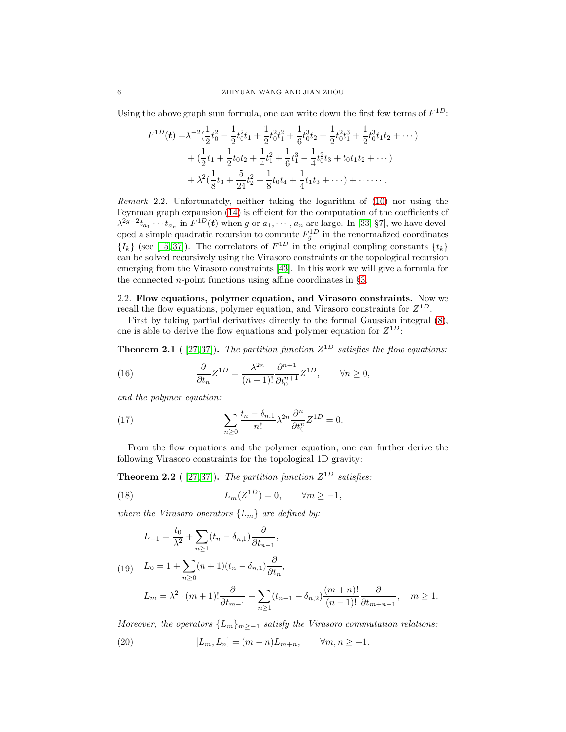Using the above graph sum formula, one can write down the first few terms of  $F^{1D}$ :

$$
F^{1D}(t) = \lambda^{-2} \left(\frac{1}{2}t_0^2 + \frac{1}{2}t_0^2t_1 + \frac{1}{2}t_0^2t_1^2 + \frac{1}{6}t_0^3t_2 + \frac{1}{2}t_0^2t_1^3 + \frac{1}{2}t_0^3t_1t_2 + \cdots\right) + \left(\frac{1}{2}t_1 + \frac{1}{2}t_0t_2 + \frac{1}{4}t_1^2 + \frac{1}{6}t_1^3 + \frac{1}{4}t_0^2t_3 + t_0t_1t_2 + \cdots\right) + \lambda^2 \left(\frac{1}{8}t_3 + \frac{5}{24}t_2^2 + \frac{1}{8}t_0t_4 + \frac{1}{4}t_1t_3 + \cdots\right) + \cdots \cdots
$$

Remark 2.2. Unfortunately, neither taking the logarithm of [\(10\)](#page-4-0) nor using the Feynman graph expansion [\(14\)](#page-4-2) is efficient for the computation of the coefficients of  $\lambda^{2g-2}t_{a_1}\cdots t_{a_n}$  in  $F^{1D}(\boldsymbol{t})$  when g or  $a_1,\cdots,a_n$  are large. In [\[33,](#page-31-8) §7], we have developed a simple quadratic recursion to compute  $F_g^{1D}$  in the renormalized coordinates  ${I_k}$  (see [\[15,](#page-31-15)37]). The correlators of  $F^{1D}$  in the original coupling constants  ${t_k}$ can be solved recursively using the Virasoro constraints or the topological recursion emerging from the Virasoro constraints [\[43\]](#page-32-0). In this work we will give a formula for the connected *n*-point functions using affine coordinates in  $\S3$ .

<span id="page-5-3"></span>2.2. Flow equations, polymer equation, and Virasoro constraints. Now we recall the flow equations, polymer equation, and Virasoro constraints for  $Z^{1D}$ .

First by taking partial derivatives directly to the formal Gaussian integral [\(8\)](#page-3-1), one is able to derive the flow equations and polymer equation for  $Z^{1D}$ :

**Theorem 2.1** ([27,37]). The partition function  $Z^{1D}$  satisfies the flow equations:

<span id="page-5-1"></span>(16) 
$$
\frac{\partial}{\partial t_n} Z^{1D} = \frac{\lambda^{2n}}{(n+1)!} \frac{\partial^{n+1}}{\partial t_0^{n+1}} Z^{1D}, \qquad \forall n \ge 0,
$$

and the polymer equation:

(17) 
$$
\sum_{n\geq 0} \frac{t_n - \delta_{n,1}}{n!} \lambda^{2n} \frac{\partial^n}{\partial t_0^n} Z^{1D} = 0.
$$

From the flow equations and the polymer equation, one can further derive the following Virasoro constraints for the topological 1D gravity:

<span id="page-5-2"></span>**Theorem 2.2** ([27,37]). The partition function  $Z^{1D}$  satisfies:

(18) 
$$
L_m(Z^{1D}) = 0, \qquad \forall m \ge -1,
$$

where the Virasoro operators  $\{L_m\}$  are defined by:

<span id="page-5-0"></span>
$$
L_{-1} = \frac{t_0}{\lambda^2} + \sum_{n \ge 1} (t_n - \delta_{n,1}) \frac{\partial}{\partial t_{n-1}},
$$

(19) 
$$
L_0 = 1 + \sum_{n\geq 0} (n+1)(t_n - \delta_{n,1}) \frac{\partial}{\partial t_n},
$$

$$
L_m = \lambda^2 \cdot (m+1)! \frac{\partial}{\partial t_{m-1}} + \sum_{n \ge 1} (t_{n-1} - \delta_{n,2}) \frac{(m+n)!}{(n-1)!} \frac{\partial}{\partial t_{m+n-1}}, \quad m \ge 1.
$$

Moreover, the operators  ${L_m}_{m>−1}$  satisfy the Virasoro commutation relations:

(20) 
$$
[L_m, L_n] = (m - n)L_{m+n}, \qquad \forall m, n \ge -1.
$$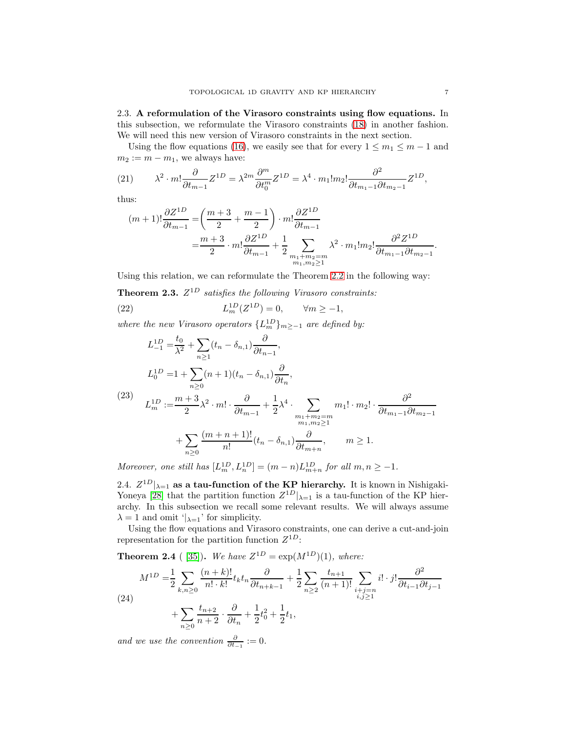2.3. A reformulation of the Virasoro constraints using flow equations. In this subsection, we reformulate the Virasoro constraints [\(18\)](#page-5-0) in another fashion. We will need this new version of Virasoro constraints in the next section.

Using the flow equations [\(16\)](#page-5-1), we easily see that for every  $1 \le m_1 \le m-1$  and  $m_2 := m - m_1$ , we always have:

(21) 
$$
\lambda^2 \cdot m! \frac{\partial}{\partial t_{m-1}} Z^{1D} = \lambda^{2m} \frac{\partial^m}{\partial t_0^m} Z^{1D} = \lambda^4 \cdot m_1! m_2! \frac{\partial^2}{\partial t_{m_1-1} \partial t_{m_2-1}} Z^{1D},
$$

thus:

$$
(m+1)!\frac{\partial Z^{1D}}{\partial t_{m-1}} = \left(\frac{m+3}{2} + \frac{m-1}{2}\right) \cdot m! \frac{\partial Z^{1D}}{\partial t_{m-1}}
$$
  
=  $\frac{m+3}{2} \cdot m! \frac{\partial Z^{1D}}{\partial t_{m-1}} + \frac{1}{2} \sum_{\substack{m_1 + m_2 = m \\ m_1, m_2 \ge 1}} \lambda^2 \cdot m_1! m_2! \frac{\partial^2 Z^{1D}}{\partial t_{m_1 - 1} \partial t_{m_2 - 1}}.$ 

Using this relation, we can reformulate the Theorem [2.2](#page-5-2) in the following way:

**Theorem 2.3.**  $Z^{1D}$  satisfies the following Virasoro constraints:

(22) 
$$
L_m^{1D}(Z^{1D}) = 0, \qquad \forall m \ge -1,
$$

where the new Virasoro operators  $\{L_m^{1D}\}_{m\ge-1}$  are defined by:

<span id="page-6-0"></span>
$$
L_{-1}^{1D} = \frac{t_0}{\lambda^2} + \sum_{n\geq 1} (t_n - \delta_{n,1}) \frac{\partial}{\partial t_{n-1}},
$$
  
\n
$$
L_0^{1D} = 1 + \sum_{n\geq 0} (n+1)(t_n - \delta_{n,1}) \frac{\partial}{\partial t_n},
$$
  
\n(23) 
$$
L_m^{1D} := \frac{m+3}{2} \lambda^2 \cdot m! \cdot \frac{\partial}{\partial t_{m-1}} + \frac{1}{2} \lambda^4 \cdot \sum_{\substack{m_1+m_2=m\\m_1,m_2\geq 1}} m_1! \cdot m_2! \cdot \frac{\partial^2}{\partial t_{m_1-1} \partial t_{m_2-1}}
$$
  
\n
$$
+ \sum_{n\geq 0} \frac{(m+n+1)!}{n!} (t_n - \delta_{n,1}) \frac{\partial}{\partial t_{m+n}}, \qquad m \geq 1.
$$

Moreover, one still has  $[L_m^{1D}, L_n^{1D}] = (m - n)L_{m+n}^{1D}$  for all  $m, n \ge -1$ .

2.4.  $Z^{1D}|_{\lambda=1}$  as a tau-function of the KP hierarchy. It is known in Nishigaki-Yoneya [\[28\]](#page-31-14) that the partition function  $Z^{1D}|_{\lambda=1}$  is a tau-function of the KP hierarchy. In this subsection we recall some relevant results. We will always assume  $\lambda = 1$  and omit ' $\lambda = 1$ ' for simplicity.

Using the flow equations and Virasoro constraints, one can derive a cut-and-join representation for the partition function  $Z^{1D}$ :

**Theorem 2.4** ([35]). We have  $Z^{1D} = \exp(M^{1D})(1)$ , where:

(24)  
\n
$$
M^{1D} = \frac{1}{2} \sum_{k,n \geq 0} \frac{(n+k)!}{n! \cdot k!} t_k t_n \frac{\partial}{\partial t_{n+k-1}} + \frac{1}{2} \sum_{n \geq 2} \frac{t_{n+1}}{(n+1)!} \sum_{\substack{i+j=n \ i,j \geq 1}} i! \cdot j! \frac{\partial^2}{\partial t_{i-1} \partial t_{j-1}} + \sum_{n \geq 0} \frac{t_{n+2}}{n+2} \cdot \frac{\partial}{\partial t_n} + \frac{1}{2} t_0^2 + \frac{1}{2} t_1,
$$

and we use the convention  $\frac{\partial}{\partial t_{-1}}$  := 0.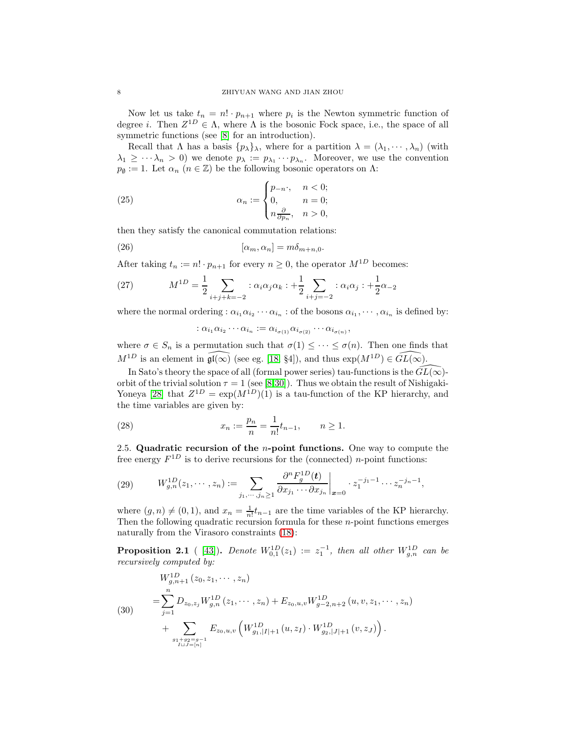Now let us take  $t_n = n! \cdot p_{n+1}$  where  $p_i$  is the Newton symmetric function of degree *i*. Then  $Z^{1D} \in \Lambda$ , where  $\Lambda$  is the bosonic Fock space, i.e., the space of all symmetric functions (see [\[8\]](#page-30-5) for an introduction).

Recall that  $\Lambda$  has a basis  $\{p_{\lambda}\}_{\lambda}$ , where for a partition  $\lambda = (\lambda_1, \dots, \lambda_n)$  (with  $\lambda_1 \geq \cdots \lambda_n > 0$  we denote  $p_{\lambda} := p_{\lambda_1} \cdots p_{\lambda_n}$ . Moreover, we use the convention  $p_{\emptyset} := 1$ . Let  $\alpha_n$   $(n \in \mathbb{Z})$  be the following bosonic operators on  $\Lambda$ :

(25) 
$$
\alpha_n := \begin{cases} p_{-n}, & n < 0; \\ 0, & n = 0; \\ n \frac{\partial}{\partial p_n}, & n > 0, \end{cases}
$$

then they satisfy the canonical commutation relations:

(26) 
$$
[\alpha_m, \alpha_n] = m\delta_{m+n,0}.
$$

After taking  $t_n := n! \cdot p_{n+1}$  for every  $n \geq 0$ , the operator  $M^{1D}$  becomes:

(27) 
$$
M^{1D} = \frac{1}{2} \sum_{i+j+k=-2} : \alpha_i \alpha_j \alpha_k : + \frac{1}{2} \sum_{i+j=-2} : \alpha_i \alpha_j : + \frac{1}{2} \alpha_{-2}
$$

where the normal ordering :  $\alpha_{i_1}\alpha_{i_2}\cdots \alpha_{i_n}$  : of the bosons  $\alpha_{i_1}, \cdots, \alpha_{i_n}$  is defined by:

$$
\vdots \alpha_{i_1}\alpha_{i_2}\cdots \alpha_{i_n} := \alpha_{i_{\sigma(1)}}\alpha_{i_{\sigma(2)}}\cdots \alpha_{i_{\sigma(n)}},
$$

where  $\sigma \in S_n$  is a permutation such that  $\sigma(1) \leq \cdots \leq \sigma(n)$ . Then one finds that  $M^{1D}$  is an element in  $\widehat{\mathfrak{gl}(\infty)}$  (see eg. [\[18,](#page-31-17) §4]), and thus  $\exp(M^{1D}) \in \widehat{GL(\infty)}$ .

In Sato's theory the space of all (formal power series) tau-functions is the  $\widehat{GL}(\infty)$ orbit of the trivial solution  $\tau = 1$  (see [\[8](#page-30-5)[,30\]](#page-31-12)). Thus we obtain the result of Nishigaki-Yoneya [\[28\]](#page-31-14) that  $Z^{1D} = \exp(M^{1D})(1)$  is a tau-function of the KP hierarchy, and the time variables are given by:

(28) 
$$
x_n := \frac{p_n}{n} = \frac{1}{n!} t_{n-1}, \qquad n \ge 1.
$$

<span id="page-7-0"></span>2.5. Quadratic recursion of the *n*-point functions. One way to compute the free energy  $F^{1D}$  is to derive recursions for the (connected) *n*-point functions:

(29) 
$$
W_{g,n}^{1D}(z_1,\dots,z_n) := \sum_{j_1,\dots,j_n\geq 1} \frac{\partial^n F_g^{1D}(\mathbf{t})}{\partial x_{j_1}\cdots \partial x_{j_n}} \bigg|_{\mathbf{x}=0} \cdot z_1^{-j_1-1}\cdots z_n^{-j_n-1},
$$

where  $(g, n) \neq (0, 1)$ , and  $x_n = \frac{1}{n!} t_{n-1}$  are the time variables of the KP hierarchy. Then the following quadratic recursion formula for these  $n$ -point functions emerges naturally from the Virasoro constraints [\(18\)](#page-5-0):

**Proposition 2.1** ([43]). Denote  $W_{0,1}^{1D}(z_1) := z_1^{-1}$ , then all other  $W_{g,n}^{1D}$  can be recursively computed by:

<span id="page-7-1"></span>(30)  
\n
$$
W_{g,n+1}^{1D}(z_0, z_1, \dots, z_n)
$$
\n
$$
= \sum_{j=1}^n D_{z_0, z_j} W_{g,n}^{1D}(z_1, \dots, z_n) + E_{z_0, u,v} W_{g-2,n+2}^{1D}(u, v, z_1, \dots, z_n)
$$
\n
$$
+ \sum_{\substack{g_1+g_2=g-1 \ I \sqcup J=[n]}} E_{z_0, u,v} \left( W_{g_1, |I|+1}^{1D}(u, z_I) \cdot W_{g_2, |J|+1}^{1D}(v, z_J) \right).
$$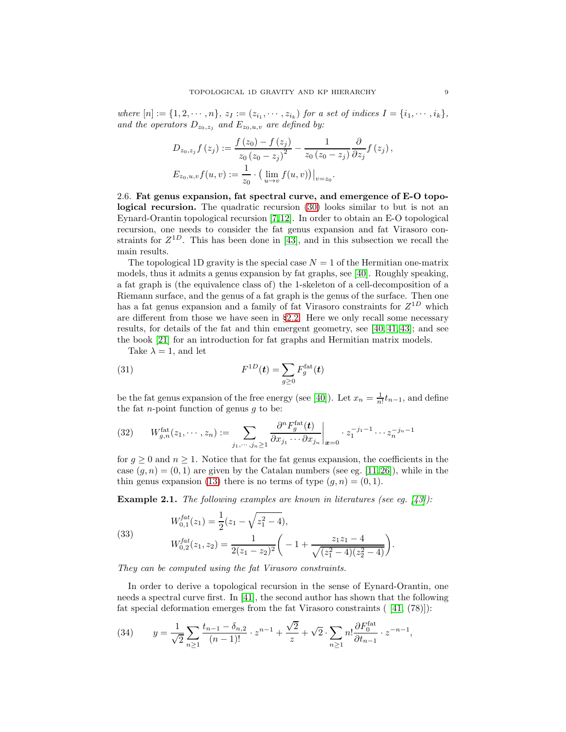where  $[n] := \{1, 2, \dots, n\}, z_I := (z_{i_1}, \dots, z_{i_k})$  for a set of indices  $I = \{i_1, \dots, i_k\},$ and the operators  $D_{z_0,z_j}$  and  $E_{z_0,u,v}$  are defined by:

$$
D_{z_0, z_j} f(z_j) := \frac{f(z_0) - f(z_j)}{z_0 (z_0 - z_j)^2} - \frac{1}{z_0 (z_0 - z_j)} \frac{\partial}{\partial z_j} f(z_j),
$$
  

$$
E_{z_0, u, v} f(u, v) := \frac{1}{z_0} \cdot \left( \lim_{u \to v} f(u, v) \right) \Big|_{v = z_0}.
$$

<span id="page-8-0"></span>2.6. Fat genus expansion, fat spectral curve, and emergence of E-O topological recursion. The quadratic recursion [\(30\)](#page-7-1) looks similar to but is not an Eynard-Orantin topological recursion [\[7,](#page-30-6)[12\]](#page-31-18). In order to obtain an E-O topological recursion, one needs to consider the fat genus expansion and fat Virasoro constraints for  $Z^{1D}$ . This has been done in [\[43\]](#page-32-0), and in this subsection we recall the main results.

The topological 1D gravity is the special case  $N = 1$  of the Hermitian one-matrix models, thus it admits a genus expansion by fat graphs, see [\[40\]](#page-31-13). Roughly speaking, a fat graph is (the equivalence class of) the 1-skeleton of a cell-decomposition of a Riemann surface, and the genus of a fat graph is the genus of the surface. Then one has a fat genus expansion and a family of fat Virasoro constraints for  $Z^{1D}$  which are different from those we have seen in  $\S 2.2$ . Here we only recall some necessary results, for details of the fat and thin emergent geometry, see [\[40,](#page-31-13) [41,](#page-31-19) [43\]](#page-32-0); and see the book [\[21\]](#page-31-20) for an introduction for fat graphs and Hermitian matrix models.

Take  $\lambda = 1$ , and let

(31) 
$$
F^{1D}(t) = \sum_{g\geq 0} F_g^{\text{fat}}(t)
$$

be the fat genus expansion of the free energy (see [\[40\]](#page-31-13)). Let  $x_n = \frac{1}{n!} t_{n-1}$ , and define the fat *n*-point function of genus  $q$  to be:

(32) 
$$
W_{g,n}^{\text{fat}}(z_1,\dots,z_n) := \sum_{j_1,\dots,j_n \geq 1} \frac{\partial^n F_g^{\text{fat}}(t)}{\partial x_{j_1} \cdots \partial x_{j_n}} \bigg|_{\boldsymbol{x} = 0} \cdot z_1^{-j_1 - 1} \cdots z_n^{-j_n - 1}
$$

for  $g \geq 0$  and  $n \geq 1$ . Notice that for the fat genus expansion, the coefficients in the case  $(q, n) = (0, 1)$  are given by the Catalan numbers (see eg. [\[11,](#page-30-7)26]), while in the thin genus expansion [\(13\)](#page-4-3) there is no terms of type  $(g, n) = (0, 1)$ .

**Example 2.1.** The following examples are known in literatures (see eq.  $[43]$ ):

(33) 
$$
W_{0,1}^{fat}(z_1) = \frac{1}{2}(z_1 - \sqrt{z_1^2 - 4}),
$$

$$
W_{0,2}^{fat}(z_1, z_2) = \frac{1}{2(z_1 - z_2)^2} \left( -1 + \frac{z_1 z_1 - 4}{\sqrt{(z_1^2 - 4)(z_2^2 - 4)}} \right).
$$

They can be computed using the fat Virasoro constraints.

In order to derive a topological recursion in the sense of Eynard-Orantin, one needs a spectral curve first. In [\[41\]](#page-31-19), the second author has shown that the following fat special deformation emerges from the fat Virasoro constraints ( [\[41,](#page-31-19) (78)]):

(34) 
$$
y = \frac{1}{\sqrt{2}} \sum_{n \ge 1} \frac{t_{n-1} - \delta_{n,2}}{(n-1)!} \cdot z^{n-1} + \frac{\sqrt{2}}{z} + \sqrt{2} \cdot \sum_{n \ge 1} n! \frac{\partial F_0^{\text{fat}}}{\partial t_{n-1}} \cdot z^{-n-1},
$$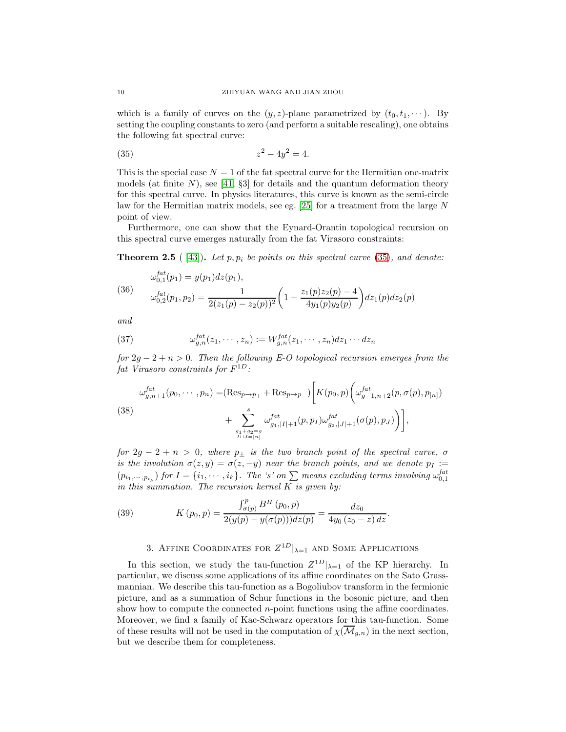which is a family of curves on the  $(y, z)$ -plane parametrized by  $(t_0, t_1, \dots)$ . By setting the coupling constants to zero (and perform a suitable rescaling), one obtains the following fat spectral curve:

<span id="page-9-1"></span>(35) 
$$
z^2 - 4y^2 = 4.
$$

This is the special case  $N = 1$  of the fat spectral curve for the Hermitian one-matrix models (at finite  $N$ ), see [\[41,](#page-31-19) §3] for details and the quantum deformation theory for this spectral curve. In physics literatures, this curve is known as the semi-circle law for the Hermitian matrix models, see eg.  $[25]$  for a treatment from the large N point of view.

Furthermore, one can show that the Eynard-Orantin topological recursion on this spectral curve emerges naturally from the fat Virasoro constraints:

**Theorem 2.5** ( [\[43\]](#page-32-0)). Let p,  $p_i$  be points on this spectral curve [\(35\)](#page-9-1), and denote:

(36) 
$$
\omega_{0,1}^{fat}(p_1) = y(p_1)dz(p_1),
$$

$$
\omega_{0,2}^{fat}(p_1, p_2) = \frac{1}{2(z_1(p) - z_2(p))^2} \left(1 + \frac{z_1(p)z_2(p) - 4}{4y_1(p)y_2(p)}\right)dz_1(p)dz_2(p)
$$

and

(37) 
$$
\omega_{g,n}^{fat}(z_1,\dots,z_n) := W_{g,n}^{fat}(z_1,\dots,z_n) dz_1 \dots dz_n
$$

for  $2g - 2 + n > 0$ . Then the following E-O topological recursion emerges from the  $\emph{fat Virasoro constraints for $F^{1D}$:}$ 

<span id="page-9-2"></span>
$$
\omega_{g,n+1}^{fat}(p_0, \cdots, p_n) = (\text{Res}_{p \to p_+} + \text{Res}_{p \to p_-}) \bigg[ K(p_0, p) \bigg( \omega_{g-1,n+2}^{fat}(p, \sigma(p), p_{[n]}) + \sum_{\substack{s \ g_1 + g_2 = g \\ I \cup J = [n]}}^{s} \omega_{g_1, |I|+1}^{fat}(p, p_I) \omega_{g_2, |J|+1}^{fat}(\sigma(p), p_J) \bigg) \bigg],
$$

for  $2g - 2 + n > 0$ , where  $p_{\pm}$  is the two branch point of the spectral curve,  $\sigma$ is the involution  $\sigma(z, y) = \sigma(z, -y)$  near the branch points, and we denote  $p_I :=$  $(p_{i_1,\dots,i_k})$  for  $I = \{i_1,\dots,i_k\}$ . The 's' on  $\sum$  means excluding terms involving  $\omega_{0,1}^{fat}$ in this summation. The recursion kernel  $K$  is given by:

(39) 
$$
K(p_0, p) = \frac{\int_{\sigma(p)}^p B^H(p_0, p)}{2(y(p) - y(\sigma(p)))dz(p)} = \frac{dz_0}{4y_0(z_0 - z) dz}.
$$

# 3. AFFINE COORDINATES FOR  $Z^{1D}|_{\lambda=1}$  and Some Applications

<span id="page-9-0"></span>In this section, we study the tau-function  $Z^{1D}|_{\lambda=1}$  of the KP hierarchy. In particular, we discuss some applications of its affine coordinates on the Sato Grassmannian. We describe this tau-function as a Bogoliubov transform in the fermionic picture, and as a summation of Schur functions in the bosonic picture, and then show how to compute the connected  $n$ -point functions using the affine coordinates. Moreover, we find a family of Kac-Schwarz operators for this tau-function. Some of these results will not be used in the computation of  $\chi(M_{q,n})$  in the next section, but we describe them for completeness.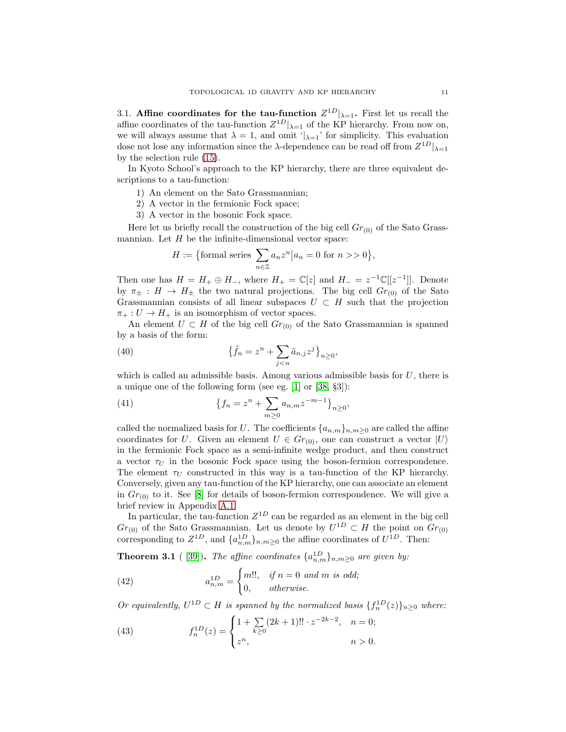<span id="page-10-0"></span>3.1. Affine coordinates for the tau-function  $Z^{1D}|_{\lambda=1}$ . First let us recall the affine coordinates of the tau-function  $Z^{1D}|_{\lambda=1}$  of the KP hierarchy. From now on, we will always assume that  $\lambda = 1$ , and omit ' $|_{\lambda=1}$ ' for simplicity. This evaluation dose not lose any information since the  $\lambda$ -dependence can be read off from  $Z^{1D}|_{\lambda=1}$ by the selection rule [\(15\)](#page-4-4).

In Kyoto School's approach to the KP hierarchy, there are three equivalent descriptions to a tau-function:

- 1) An element on the Sato Grassmannian;
- 2) A vector in the fermionic Fock space;
- 3) A vector in the bosonic Fock space.

Here let us briefly recall the construction of the big cell  $Gr_{(0)}$  of the Sato Grassmannian. Let  $H$  be the infinite-dimensional vector space:

$$
H:=\big\{\text{formal series } \sum_{n\in\mathbb{Z}} a_n z^n \big| a_n=0 \text{ for } n>>0\big\},
$$

Then one has  $H = H_+ \oplus H_-$ , where  $H_+ = \mathbb{C}[z]$  and  $H_- = z^{-1} \mathbb{C}[[z^{-1}]]$ . Denote by  $\pi_{\pm}: H \to H_{\pm}$  the two natural projections. The big cell  $Gr_{(0)}$  of the Sato Grassmannian consists of all linear subspaces  $U \subset H$  such that the projection  $\pi_+ : U \to H_+$  is an isomorphism of vector spaces.

An element  $U \subset H$  of the big cell  $Gr_{(0)}$  of the Sato Grassmannian is spanned by a basis of the form:

(40) 
$$
\left\{\tilde{f}_n = z^n + \sum_{j < n} \tilde{a}_{n,j} z^j\right\}_{n \geq 0},
$$

which is called an admissible basis. Among various admissible basis for  $U$ , there is a unique one of the following form (see eg. [\[1\]](#page-30-8) or [\[38,](#page-31-23) §3]):

(41) 
$$
\{f_n = z^n + \sum_{m\geq 0} a_{n,m} z^{-m-1}\}_{n\geq 0},
$$

called the normalized basis for U. The coefficients  $\{a_{n,m}\}_{n,m\geq 0}$  are called the affine coordinates for U. Given an element  $U \in Gr_{(0)}$ , one can construct a vector  $|U\rangle$ in the fermionic Fock space as a semi-infinite wedge product, and then construct a vector  $\tau_U$  in the bosonic Fock space using the boson-fermion correspondence. The element  $\tau_U$  constructed in this way is a tau-function of the KP hierarchy. Conversely, given any tau-function of the KP hierarchy, one can associate an element in  $Gr_{(0)}$  to it. See [\[8\]](#page-30-5) for details of boson-fermion correspondence. We will give a brief review in Appendix [A.1.](#page-22-1)

In particular, the tau-function  $Z^{1D}$  can be regarded as an element in the big cell  $Gr_{(0)}$  of the Sato Grassmannian. Let us denote by  $U^{1D} \subset H$  the point on  $Gr_{(0)}$ corresponding to  $Z^{1D}$ , and  $\{a_{n,m}^{1D}\}_{n,m\geq 0}$  the affine coordinates of  $U^{1D}$ . Then:

<span id="page-10-1"></span>**Theorem 3.1** ( [\[39\]](#page-31-24)). The affine coordinates  $\{a_{n,m}^{1D}\}_{n,m\geq0}$  are given by:

<span id="page-10-2"></span>(42) 
$$
a_{n,m}^{1D} = \begin{cases} m!!, & \text{if } n = 0 \text{ and } m \text{ is odd;} \\ 0, & \text{otherwise.} \end{cases}
$$

Or equivalently,  $U^{1D} \subset H$  is spanned by the normalized basis  $\{f_n^{1D}(z)\}_{n\geq 0}$  where:

<span id="page-10-3"></span>(43) 
$$
f_n^{1D}(z) = \begin{cases} 1 + \sum_{k \ge 0} (2k+1)!! \cdot z^{-2k-2}, & n = 0; \\ z^n, & n > 0. \end{cases}
$$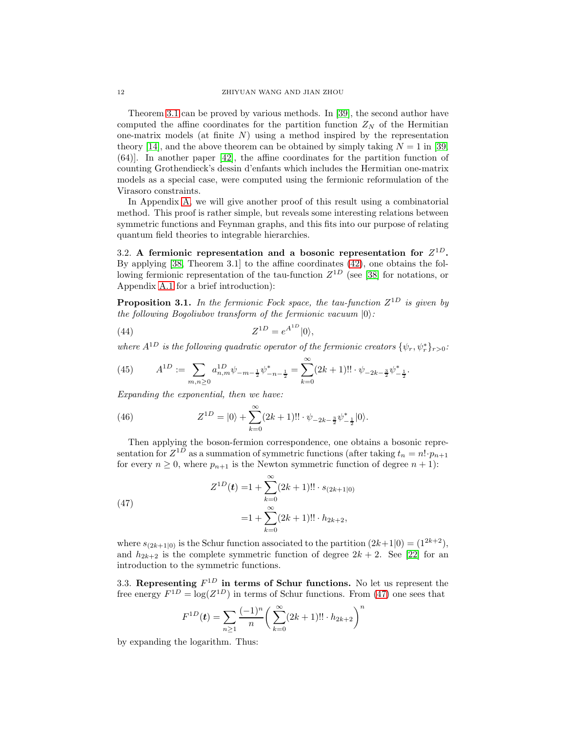Theorem [3.1](#page-10-1) can be proved by various methods. In [\[39\]](#page-31-24), the second author have computed the affine coordinates for the partition function  $Z_N$  of the Hermitian one-matrix models (at finite  $N$ ) using a method inspired by the representation theory [\[14\]](#page-31-25), and the above theorem can be obtained by simply taking  $N = 1$  in [\[39,](#page-31-24) (64)]. In another paper [\[42\]](#page-31-26), the affine coordinates for the partition function of counting Grothendieck's dessin d'enfants which includes the Hermitian one-matrix models as a special case, were computed using the fermionic reformulation of the Virasoro constraints.

In Appendix [A,](#page-22-0) we will give another proof of this result using a combinatorial method. This proof is rather simple, but reveals some interesting relations between symmetric functions and Feynman graphs, and this fits into our purpose of relating quantum field theories to integrable hierarchies.

<span id="page-11-0"></span>3.2. A fermionic representation and a bosonic representation for  $Z^{1D}$ . By applying [\[38,](#page-31-23) Theorem 3.1] to the affine coordinates [\(42\)](#page-10-2), one obtains the following fermionic representation of the tau-function  $Z^{1D}$  (see [\[38\]](#page-31-23) for notations, or Appendix [A.1](#page-22-1) for a brief introduction):

**Proposition 3.1.** In the fermionic Fock space, the tau-function  $Z^{1D}$  is given by the following Bogoliubov transform of the fermionic vacuum  $|0\rangle$ :

(44) 
$$
Z^{1D} = e^{A^{1D}}|0\rangle,
$$

where  $A^{1D}$  is the following quadratic operator of the fermionic creators  $\{\psi_r, \psi^*_r\}_{r>0}$ :

(45) 
$$
A^{1D} := \sum_{m,n \geq 0} a_{n,m}^{1D} \psi_{-m-\frac{1}{2}} \psi_{-n-\frac{1}{2}}^* = \sum_{k=0}^{\infty} (2k+1)!! \cdot \psi_{-2k-\frac{3}{2}} \psi_{-\frac{1}{2}}^*.
$$

Expanding the exponential, then we have:

(46) 
$$
Z^{1D} = |0\rangle + \sum_{k=0}^{\infty} (2k+1)!! \cdot \psi_{-2k-\frac{3}{2}} \psi_{-\frac{1}{2}}^* |0\rangle.
$$

Then applying the boson-fermion correspondence, one obtains a bosonic representation for  $Z^{1D}$  as a summation of symmetric functions (after taking  $t_n = n! \cdot p_{n+1}$ for every  $n \geq 0$ , where  $p_{n+1}$  is the Newton symmetric function of degree  $n + 1$ :

<span id="page-11-1"></span>(47)  

$$
Z^{1D}(\mathbf{t}) = 1 + \sum_{k=0}^{\infty} (2k+1)!! \cdot s_{(2k+1|0)}
$$

$$
= 1 + \sum_{k=0}^{\infty} (2k+1)!! \cdot h_{2k+2},
$$

where  $s_{(2k+1|0)}$  is the Schur function associated to the partition  $(2k+1|0) = (1^{2k+2})$ , and  $h_{2k+2}$  is the complete symmetric function of degree  $2k+2$ . See [\[22\]](#page-31-27) for an introduction to the symmetric functions.

3.3. Representing  $F^{1D}$  in terms of Schur functions. No let us represent the free energy  $F^{1D} = \log(Z^{1D})$  in terms of Schur functions. From [\(47\)](#page-11-1) one sees that

$$
F^{1D}(t) = \sum_{n\geq 1} \frac{(-1)^n}{n} \left( \sum_{k=0}^{\infty} (2k+1)!! \cdot h_{2k+2} \right)^n
$$

by expanding the logarithm. Thus: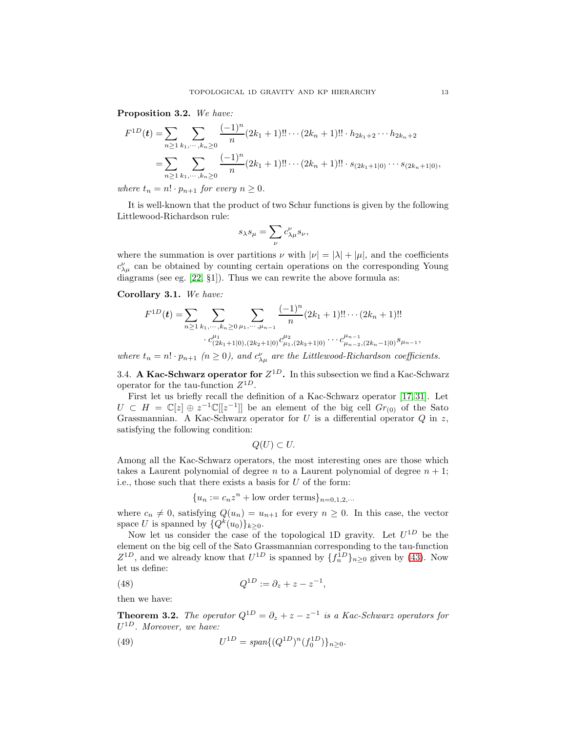Proposition 3.2. We have:

$$
F^{1D}(\boldsymbol{t}) = \sum_{n\geq 1} \sum_{k_1,\dots,k_n\geq 0} \frac{(-1)^n}{n} (2k_1+1)!! \cdots (2k_n+1)!! \cdot h_{2k_1+2} \cdots h_{2k_n+2}
$$
  
= 
$$
\sum_{n\geq 1} \sum_{k_1,\dots,k_n\geq 0} \frac{(-1)^n}{n} (2k_1+1)!! \cdots (2k_n+1)!! \cdot s_{(2k_1+1|0)} \cdots s_{(2k_n+1|0)},
$$

where  $t_n = n! \cdot p_{n+1}$  for every  $n \geq 0$ .

It is well-known that the product of two Schur functions is given by the following Littlewood-Richardson rule:

$$
s_{\lambda}s_{\mu} = \sum_{\nu} c_{\lambda\mu}^{\nu} s_{\nu},
$$

where the summation is over partitions  $\nu$  with  $|\nu| = |\lambda| + |\mu|$ , and the coefficients  $c^{\nu}_{\lambda\mu}$  can be obtained by counting certain operations on the corresponding Young diagrams (see eg. [\[22,](#page-31-27) §1]). Thus we can rewrite the above formula as:

Corollary 3.1. We have:

$$
F^{1D}(\boldsymbol{t}) = \sum_{n \geq 1} \sum_{k_1, \dots, k_n \geq 0} \sum_{\mu_1, \dots, \mu_{n-1}} \frac{(-1)^n}{n} (2k_1 + 1)!! \cdots (2k_n + 1)!!
$$
  

$$
c_{(2k_1+1|0),(2k_2+1|0)}^{\mu_1} c_{\mu_1,(2k_3+1|0)}^{\mu_2} \cdots c_{\mu_{n-2},(2k_n-1|0)}^{\mu_{n-1},(2k_n+1|0)}
$$

<span id="page-12-0"></span>where  $t_n = n! \cdot p_{n+1}$   $(n \ge 0)$ , and  $c^{\nu}_{\lambda \mu}$  are the Littlewood-Richardson coefficients.

3.4. A Kac-Schwarz operator for  $Z^{1D}$ . In this subsection we find a Kac-Schwarz operator for the tau-function  $Z^{1D}$ .

First let us briefly recall the definition of a Kac-Schwarz operator [\[17,](#page-31-28) [31\]](#page-31-29). Let  $U \subset H = \mathbb{C}[z] \oplus z^{-1} \mathbb{C}[[z^{-1}]]$  be an element of the big cell  $Gr_{(0)}$  of the Sato Grassmannian. A Kac-Schwarz operator for  $U$  is a differential operator  $Q$  in  $z$ , satisfying the following condition:

$$
Q(U) \subset U.
$$

Among all the Kac-Schwarz operators, the most interesting ones are those which takes a Laurent polynomial of degree n to a Laurent polynomial of degree  $n + 1$ ; i.e., those such that there exists a basis for  $U$  of the form:

$$
\{u_n := c_n z^n + \text{low order terms}\}_{n=0,1,2,\cdots}
$$

where  $c_n \neq 0$ , satisfying  $Q(u_n) = u_{n+1}$  for every  $n \geq 0$ . In this case, the vector space U is spanned by  $\{Q^k(u_0)\}_{k\geq 0}$ .

Now let us consider the case of the topological 1D gravity. Let  $U^{1D}$  be the element on the big cell of the Sato Grassmannian corresponding to the tau-function  $Z^{1D}$ , and we already know that  $U^{1D}$  is spanned by  $\{f_n^{1D}\}_{n\geq 0}$  given by [\(43\)](#page-10-3). Now let us define:

(48) 
$$
Q^{1D} := \partial_z + z - z^{-1},
$$

then we have:

**Theorem 3.2.** The operator  $Q^{1D} = \partial_z + z - z^{-1}$  is a Kac-Schwarz operators for  $U^{1D}$ . Moreover, we have:

(49) 
$$
U^{1D} = span\{(Q^{1D})^n (f_0^{1D})\}_{n \ge 0}.
$$

,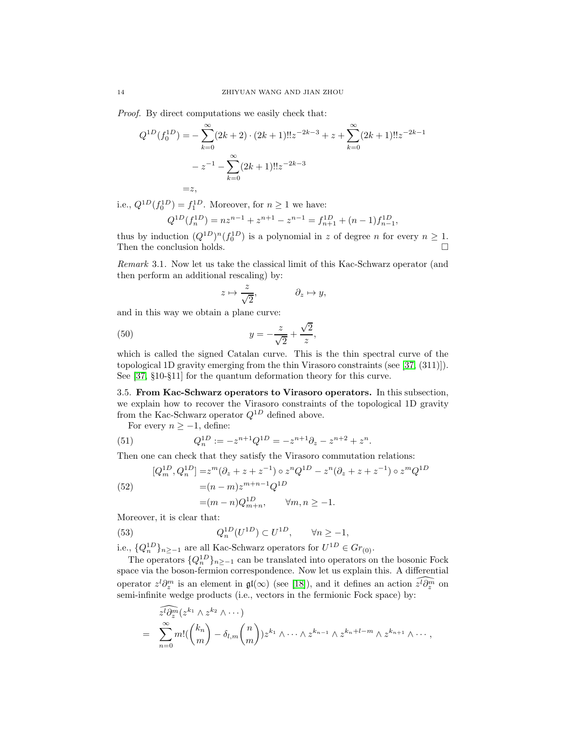Proof. By direct computations we easily check that:

$$
Q^{1D}(f_0^{1D}) = -\sum_{k=0}^{\infty} (2k+2) \cdot (2k+1)!! z^{-2k-3} + z + \sum_{k=0}^{\infty} (2k+1)!! z^{-2k-1}
$$

$$
- z^{-1} - \sum_{k=0}^{\infty} (2k+1)!! z^{-2k-3}
$$

$$
= z,
$$

i.e.,  $Q^{1D}(f_0^{1D}) = f_1^{1D}$ . Moreover, for  $n \ge 1$  we have:

$$
Q^{1D}(f_n^{1D}) = nz^{n-1} + z^{n+1} - z^{n-1} = f_{n+1}^{1D} + (n-1)f_{n-1}^{1D},
$$

thus by induction  $(Q^{1D})^n (f_0^{1D})$  is a polynomial in z of degree n for every  $n \geq 1$ . Then the conclusion holds.  $\hfill \square$ 

Remark 3.1. Now let us take the classical limit of this Kac-Schwarz operator (and then perform an additional rescaling) by:

$$
z\mapsto \frac{z}{\sqrt{2}}, \hspace{1.5cm} \partial_z\mapsto y,
$$

and in this way we obtain a plane curve:

$$
(50)\qquad \qquad y = -\frac{z}{\sqrt{2}} + \frac{\sqrt{2}}{z}
$$

which is called the signed Catalan curve. This is the thin spectral curve of the topological 1D gravity emerging from the thin Virasoro constraints (see [\[37,](#page-31-10) (311)]). See [\[37,](#page-31-10) §10-§11] for the quantum deformation theory for this curve.

,

<span id="page-13-0"></span>3.5. From Kac-Schwarz operators to Virasoro operators. In this subsection, we explain how to recover the Virasoro constraints of the topological 1D gravity from the Kac-Schwarz operator  $Q^{1D}$  defined above.

For every  $n \geq -1$ , define:

(51) 
$$
Q_n^{1D} := -z^{n+1}Q^{1D} = -z^{n+1}\partial_z - z^{n+2} + z^n.
$$

Then one can check that they satisfy the Virasoro commutation relations:

(52)  
\n
$$
[Q_m^{1D}, Q_n^{1D}] = z^m (\partial_z + z + z^{-1}) \circ z^n Q^{1D} - z^n (\partial_z + z + z^{-1}) \circ z^m Q^{1D}
$$
\n
$$
= (n - m) z^{m+n-1} Q^{1D}
$$
\n
$$
= (m - n) Q_{m+n}^{1D}, \qquad \forall m, n \ge -1.
$$

Moreover, it is clear that:

(53) 
$$
Q_n^{1D}(U^{1D}) \subset U^{1D}, \qquad \forall n \ge -1,
$$

i.e.,  $\{Q_n^{1D}\}_{n\geq -1}$  are all Kac-Schwarz operators for  $U^{1D} \in Gr_{(0)}$ .

The operators  $\{Q_n^{1D}\}_{n\geq -1}$  can be translated into operators on the bosonic Fock space via the boson-fermion correspondence. Now let us explain this. A differential operator  $z^{l}\partial_{z}^{m}$  is an element in  $\mathfrak{gl}(\infty)$  (see [\[18\]](#page-31-17)), and it defines an action  $\widehat{z^{l}\partial_{z}^{m}}$  on semi-infinite wedge products (i.e., vectors in the fermionic Fock space) by:

$$
\widehat{z^{l}\partial_z^{m}}(z^{k_1}\wedge z^{k_2}\wedge \cdots)
$$
\n
$$
= \sum_{n=0}^{\infty} m! {k_n \choose m} - \delta_{l,m}{n \choose m} z^{k_1}\wedge \cdots \wedge z^{k_{n-1}} \wedge z^{k_n+l-m} \wedge z^{k_{n+1}} \wedge \cdots,
$$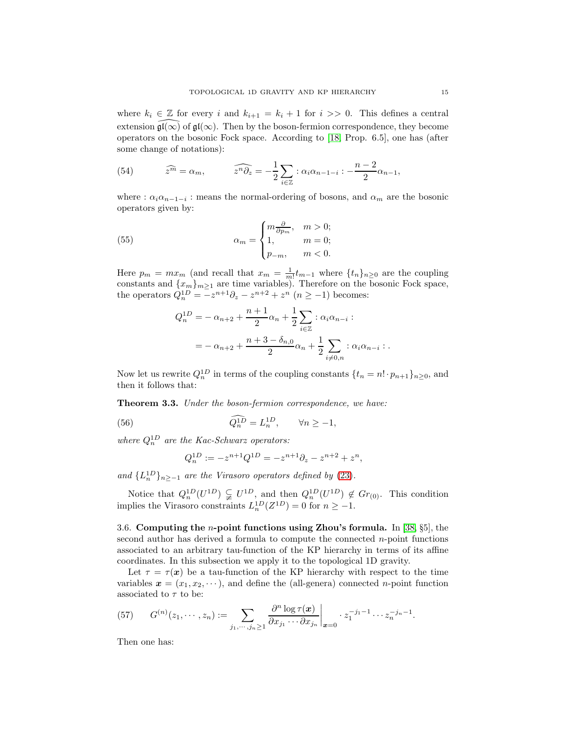where  $k_i \in \mathbb{Z}$  for every i and  $k_{i+1} = k_i + 1$  for  $i >> 0$ . This defines a central extension  $\mathfrak{gl}(\infty)$  of  $\mathfrak{gl}(\infty)$ . Then by the boson-fermion correspondence, they become operators on the bosonic Fock space. According to [\[18,](#page-31-17) Prop. 6.5], one has (after some change of notations):

(54) 
$$
\widehat{z^m} = \alpha_m, \qquad \widehat{z^n \partial_z} = -\frac{1}{2} \sum_{i \in \mathbb{Z}} \, : \, \alpha_i \alpha_{n-1-i} : -\frac{n-2}{2} \alpha_{n-1},
$$

where :  $\alpha_i \alpha_{n-1-i}$  : means the normal-ordering of bosons, and  $\alpha_m$  are the bosonic operators given by:

(55) 
$$
\alpha_m = \begin{cases} m \frac{\partial}{\partial p_m}, & m > 0; \\ 1, & m = 0; \\ p_{-m}, & m < 0. \end{cases}
$$

Here  $p_m = mx_m$  (and recall that  $x_m = \frac{1}{m!}t_{m-1}$  where  $\{t_n\}_{n\geq 0}$  are the coupling constants and  ${x_m}_{m\geq 1}$  are time variables). Therefore on the bosonic Fock space, the operators  $Q_n^{1D} = -z^{n+1}\partial_z - z^{n+2} + z^n \ (n \ge -1)$  becomes:

$$
Q_n^{1D} = -\alpha_{n+2} + \frac{n+1}{2}\alpha_n + \frac{1}{2}\sum_{i \in \mathbb{Z}} : \alpha_i \alpha_{n-i} :
$$
  
=  $-\alpha_{n+2} + \frac{n+3-\delta_{n,0}}{2}\alpha_n + \frac{1}{2}\sum_{i \neq 0,n} : \alpha_i \alpha_{n-i} :$ 

Now let us rewrite  $Q_n^{1D}$  in terms of the coupling constants  $\{t_n = n! \cdot p_{n+1}\}_{n \geq 0}$ , and then it follows that:

Theorem 3.3. Under the boson-fermion correspondence, we have:

(56) 
$$
\widehat{Q_n^{1D}} = L_n^{1D}, \qquad \forall n \ge -1,
$$

where  $Q_n^{1D}$  are the Kac-Schwarz operators:

$$
Q_n^{1D} := -z^{n+1}Q^{1D} = -z^{n+1}\partial_z - z^{n+2} + z^n,
$$

and  $\{L_n^{1D}\}_{n\ge-1}$  are the Virasoro operators defined by [\(23\)](#page-6-0).

Notice that  $Q_n^{1D}(U^{1D}) \subsetneq U^{1D}$ , and then  $Q_n^{1D}(U^{1D}) \notin Gr_{(0)}$ . This condition implies the Virasoro constraints  $L_n^{1D}(Z^{1D}) = 0$  for  $n \ge -1$ .

<span id="page-14-0"></span>3.6. Computing the n-point functions using Zhou's formula. In [\[38,](#page-31-23) §5], the second author has derived a formula to compute the connected  $n$ -point functions associated to an arbitrary tau-function of the KP hierarchy in terms of its affine coordinates. In this subsection we apply it to the topological 1D gravity.

Let  $\tau = \tau(x)$  be a tau-function of the KP hierarchy with respect to the time variables  $\mathbf{x} = (x_1, x_2, \dots)$ , and define the (all-genera) connected *n*-point function associated to  $\tau$  to be:

(57) 
$$
G^{(n)}(z_1,\dots,z_n) := \sum_{j_1,\dots,j_n \geq 1} \frac{\partial^n \log \tau(\bm{x})}{\partial x_{j_1} \cdots \partial x_{j_n}} \bigg|_{\bm{x} = 0} \cdot z_1^{-j_1 - 1} \cdots z_n^{-j_n - 1}.
$$

Then one has: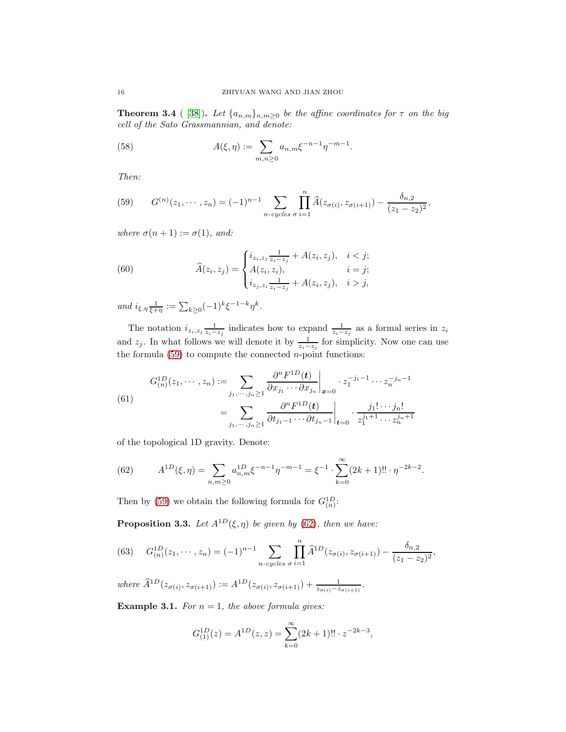**Theorem 3.4** ( [\[38\]](#page-31-23)). Let  $\{a_{n,m}\}_{n,m\geq 0}$  be the affine coordinates for  $\tau$  on the big cell of the Sato Grassmannian, and denote:

.

(58) 
$$
A(\xi, \eta) := \sum_{m,n \ge 0} a_{n,m} \xi^{-n-1} \eta^{-m-1}
$$

Then:

<span id="page-15-0"></span>(59) 
$$
G^{(n)}(z_1,\dots,z_n) = (-1)^{n-1} \sum_{n\text{-cycles } \sigma} \prod_{i=1}^n \widehat{A}(z_{\sigma(i)},z_{\sigma(i+1)}) - \frac{\delta_{n,2}}{(z_1-z_2)^2},
$$

where  $\sigma(n+1) := \sigma(1)$ , and:

(60) 
$$
\widehat{A}(z_i, z_j) = \begin{cases} i_{z_i, z_j} \frac{1}{z_i - z_j} + A(z_i, z_j), & i < j; \\ A(z_i, z_i), & i = j; \\ i_{z_j, z_i} \frac{1}{z_i - z_j} + A(z_i, z_j), & i > j, \end{cases}
$$

and  $i_{\xi,\eta} \frac{1}{\xi+\eta} := \sum_{k\geq 0} (-1)^k \xi^{-1-k} \eta^k$ .

The notation  $i_{z_i, z_j} \frac{1}{z_i - z_j}$  indicates how to expand  $\frac{1}{z_i - z_j}$  as a formal series in  $z_i$ and  $z_j$ . In what follows we will denote it by  $\frac{1}{z_i-z_j}$  for simplicity. Now one can use the formula  $(59)$  to compute the connected *n*-point functions:

(61)  

$$
G_{(n)}^{1D}(z_1, \dots, z_n) := \sum_{j_1, \dots, j_n \ge 1} \frac{\partial^n F^{1D}(\mathbf{t})}{\partial x_{j_1} \cdots \partial x_{j_n}} \bigg|_{\mathbf{x} = 0} \cdot z_1^{-j_1 - 1} \cdots z_n^{-j_n - 1}
$$

$$
= \sum_{j_1, \dots, j_n \ge 1} \frac{\partial^n F^{1D}(\mathbf{t})}{\partial t_{j_1 - 1} \cdots \partial t_{j_n - 1}} \bigg|_{\mathbf{t} = 0} \cdot \frac{j_1! \cdots j_n!}{z_1^{j_1 + 1} \cdots z_n^{j_n + 1}}
$$

of the topological 1D gravity. Denote:

<span id="page-15-1"></span>(62) 
$$
A^{1D}(\xi, \eta) = \sum_{n,m \ge 0} a_{n,m}^{1D} \xi^{-n-1} \eta^{-m-1} = \xi^{-1} \cdot \sum_{k=0}^{\infty} (2k+1)!! \cdot \eta^{-2k-2}.
$$

Then by [\(59\)](#page-15-0) we obtain the following formula for  $G_{(n)}^{1D}$ :

<span id="page-15-2"></span>**Proposition 3.3.** Let  $A^{1D}(\xi, \eta)$  be given by [\(62\)](#page-15-1), then we have:

<span id="page-15-3"></span>(63) 
$$
G_{(n)}^{1D}(z_1,\dots,z_n) = (-1)^{n-1} \sum_{n-cycles} \prod_{\sigma i=1}^n \widehat{A}^{1D}(z_{\sigma(i)},z_{\sigma(i+1)}) - \frac{\delta_{n,2}}{(z_1-z_2)^2},
$$

where  $\widehat{A}^{1D}(z_{\sigma(i)}, z_{\sigma(i+1)}) := A^{1D}(z_{\sigma(i)}, z_{\sigma(i+1)}) + \frac{1}{z_{\sigma(i)}-z_{\sigma(i+1)}}$ .

**Example 3.1.** For  $n = 1$ , the above formula gives:

$$
G_{(1)}^{1D}(z) = A^{1D}(z, z) = \sum_{k=0}^{\infty} (2k+1)!! \cdot z^{-2k-3},
$$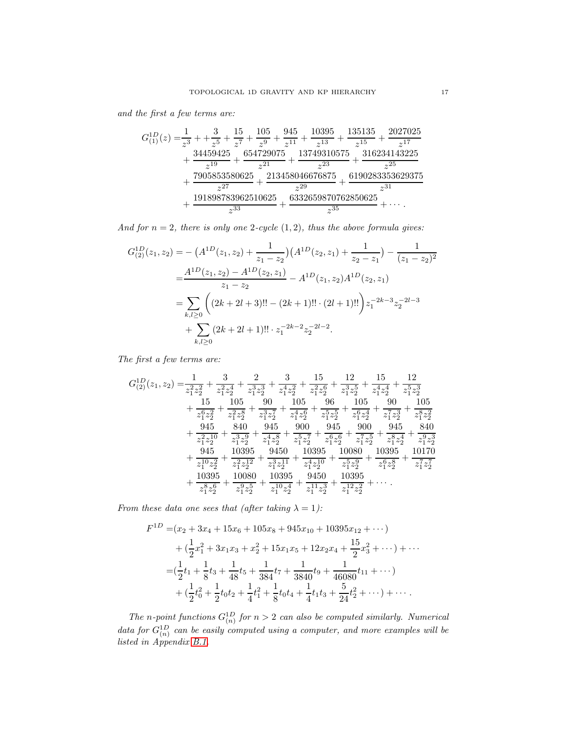and the first a few terms are:

$$
G_{(1)}^{1D}(z) = \frac{1}{z^3} + \frac{3}{z^5} + \frac{15}{z^7} + \frac{105}{z^9} + \frac{945}{z^{11}} + \frac{10395}{z^{13}} + \frac{135135}{z^{15}} + \frac{2027025}{z^{17}} \\ + \frac{34459425}{z^{19}} + \frac{654729075}{z^{21}} + \frac{13749310575}{z^{23}} + \frac{316234143225}{z^{25}} \\ + \frac{7905853580625}{z^{27}} + \frac{213458046676875}{z^{29}} + \frac{6190283353629375}{z^{31}} \\ + \frac{191898783962510625}{z^{33}} + \frac{6332659870762850625}{z^{35}} + \cdots
$$

And for  $n = 2$ , there is only one 2-cycle  $(1, 2)$ , thus the above formula gives:

$$
G_{(2)}^{1D}(z_1, z_2) = -\left(A^{1D}(z_1, z_2) + \frac{1}{z_1 - z_2}\right)\left(A^{1D}(z_2, z_1) + \frac{1}{z_2 - z_1}\right) - \frac{1}{(z_1 - z_2)^2}
$$
  

$$
= \frac{A^{1D}(z_1, z_2) - A^{1D}(z_2, z_1)}{z_1 - z_2} - A^{1D}(z_1, z_2)A^{1D}(z_2, z_1)
$$
  

$$
= \sum_{k,l \ge 0} \left( (2k + 2l + 3)!! - (2k + 1)!! \cdot (2l + 1)!! \right) z_1^{-2k - 3} z_2^{-2l - 3}
$$
  

$$
+ \sum_{k,l \ge 0} (2k + 2l + 1)!! \cdot z_1^{-2k - 2} z_2^{-2l - 2}.
$$

The first a few terms are:

$$
\begin{aligned} G_{(2)}^{1D}(z_1,z_2)=&\frac{1}{z_1^2z_2^2}+\frac{3}{z_1^2z_2^4}+\frac{3}{z_1^3z_2^3}+\frac{15}{z_1^2z_2^6}+\frac{12}{z_1^3z_2^5}+\frac{15}{z_1^4z_2^4}+\frac{12}{z_1^5z_2^3}\\ &+\frac{15}{z_1^6z_2^2}+\frac{105}{z_1^2z_2^8}+\frac{90}{z_1^3z_2^7}+\frac{105}{z_1^4z_2^6}+\frac{96}{z_1^5z_2^5}+\frac{105}{z_1^6z_2^4}+\frac{90}{z_1^7z_2^3}+\frac{105}{z_1^8z_2^2}\\ &+\frac{945}{z_1^2z_2^{10}}+\frac{840}{z_1^3z_2^9}+\frac{945}{z_1^4z_2^8}+\frac{900}{z_1^5z_2^7}+\frac{945}{z_1^6z_2^6}+\frac{900}{z_1^7z_2^5}+\frac{945}{z_1^8z_2^4}+\frac{840}{z_1^9z_2^3}\\ &+\frac{945}{z_1^{10}z_2^2}+\frac{10395}{z_1^2z_2^{12}}+\frac{9450}{z_1^3z_2^{11}}+\frac{10395}{z_1^4z_2^{10}}+\frac{10080}{z_1^5z_2^8}+\frac{10395}{z_1^6z_2^8}+\frac{10170}{z_1^7z_2^7}\\ &+\frac{10395}{z_1^8z_2^6}+\frac{10080}{z_1^9z_2^5}+\frac{10395}{z_1^1z_2^5}+\frac{9450}{z_1^{11}z_2^3}+\frac{10395}{z_1^{12}z_2^2}+\cdots\,. \end{aligned}
$$

From these data one sees that (after taking  $\lambda = 1$ ):

$$
F^{1D} = (x_2 + 3x_4 + 15x_6 + 105x_8 + 945x_{10} + 10395x_{12} + \cdots)
$$
  
+ 
$$
(\frac{1}{2}x_1^2 + 3x_1x_3 + x_2^2 + 15x_1x_5 + 12x_2x_4 + \frac{15}{2}x_3^2 + \cdots) + \cdots
$$
  
= 
$$
(\frac{1}{2}t_1 + \frac{1}{8}t_3 + \frac{1}{48}t_5 + \frac{1}{384}t_7 + \frac{1}{3840}t_9 + \frac{1}{46080}t_{11} + \cdots)
$$
  
+ 
$$
(\frac{1}{2}t_0^2 + \frac{1}{2}t_0t_2 + \frac{1}{4}t_1^2 + \frac{1}{8}t_0t_4 + \frac{1}{4}t_1t_3 + \frac{5}{24}t_2^2 + \cdots) + \cdots
$$

The n-point functions  $G_{(n)}^{1D}$  for  $n > 2$  can also be computed similarly. Numerical data for  $G_{(n)}^{1D}$  can be easily computed using a computer, and more examples will be listed in Appendix [B.1.](#page-27-1)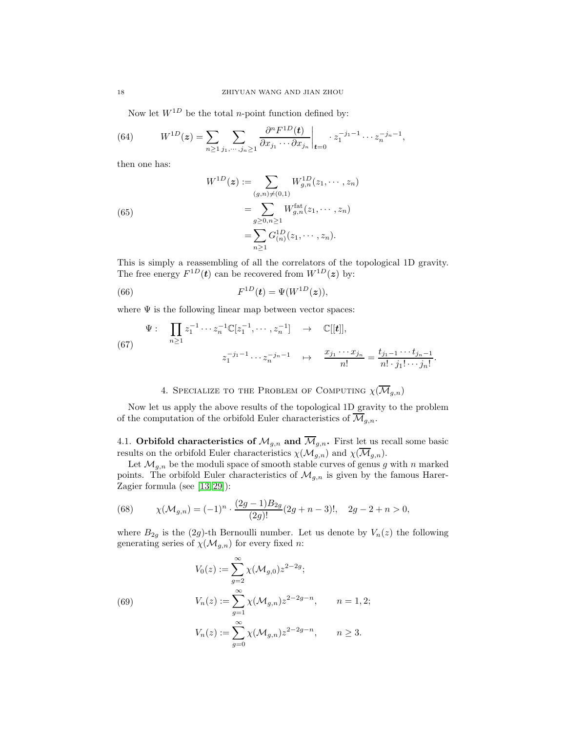Now let  $W^{1D}$  be the total *n*-point function defined by:

(64) 
$$
W^{1D}(z) = \sum_{n \ge 1} \sum_{j_1, \cdots, j_n \ge 1} \frac{\partial^n F^{1D}(t)}{\partial x_{j_1} \cdots \partial x_{j_n}} \bigg|_{t=0} \cdot z_1^{-j_1 - 1} \cdots z_n^{-j_n - 1},
$$

then one has:

(65)  
\n
$$
W^{1D}(z) := \sum_{(g,n)\neq(0,1)} W^{1D}_{g,n}(z_1,\dots,z_n)
$$
\n
$$
= \sum_{g\geq 0,n\geq 1} W^{fat}_{g,n}(z_1,\dots,z_n)
$$
\n
$$
= \sum_{n\geq 1} G^{1D}_{(n)}(z_1,\dots,z_n).
$$

This is simply a reassembling of all the correlators of the topological 1D gravity. The free energy  $F^{1D}(t)$  can be recovered from  $W^{1D}(z)$  by:

<span id="page-17-2"></span>(66) 
$$
F^{1D}(\mathbf{t}) = \Psi(W^{1D}(z)),
$$

where  $\Psi$  is the following linear map between vector spaces:

(67) 
$$
\Psi: \prod_{n\geq 1} z_1^{-1} \cdots z_n^{-1} \mathbb{C}[z_1^{-1}, \cdots, z_n^{-1}] \rightarrow \mathbb{C}[[t]],
$$

$$
z_1^{-j_1-1} \cdots z_n^{-j_n-1} \rightarrow \frac{x_{j_1} \cdots x_{j_n}}{n!} = \frac{t_{j_1-1} \cdots t_{j_n-1}}{n! \cdot j_1! \cdots j_n!}
$$

4. SPECIALIZE TO THE PROBLEM OF COMPUTING  $\chi(\overline{\mathcal{M}}_{g,n})$ 

.

<span id="page-17-0"></span>Now let us apply the above results of the topological 1D gravity to the problem of the computation of the orbifold Euler characteristics of  $\overline{\mathcal{M}}_{q,n}$ .

4.1. Orbifold characteristics of  $\mathcal{M}_{g,n}$  and  $\overline{\mathcal{M}}_{g,n}$ . First let us recall some basic results on the orbifold Euler characteristics  $\chi(\mathcal{M}_{g,n})$  and  $\chi(\overline{\mathcal{M}}_{g,n})$ .

Let  $\mathcal{M}_{g,n}$  be the moduli space of smooth stable curves of genus g with n marked points. The orbifold Euler characteristics of  $\mathcal{M}_{g,n}$  is given by the famous Harer-Zagier formula (see [\[13,](#page-31-4) [29\]](#page-31-5)):

(68) 
$$
\chi(\mathcal{M}_{g,n}) = (-1)^n \cdot \frac{(2g-1)B_{2g}}{(2g)!} (2g+n-3)!, \quad 2g-2+n > 0,
$$

where  $B_{2g}$  is the (2g)-th Bernoulli number. Let us denote by  $V_n(z)$  the following generating series of  $\chi(M_{g,n})$  for every fixed n:

<span id="page-17-1"></span>(69)  
\n
$$
V_0(z) := \sum_{g=2}^{\infty} \chi(\mathcal{M}_{g,0}) z^{2-2g};
$$
\n
$$
V_n(z) := \sum_{g=1}^{\infty} \chi(\mathcal{M}_{g,n}) z^{2-2g-n}, \qquad n = 1, 2;
$$
\n
$$
V_n(z) := \sum_{g=0}^{\infty} \chi(\mathcal{M}_{g,n}) z^{2-2g-n}, \qquad n \ge 3.
$$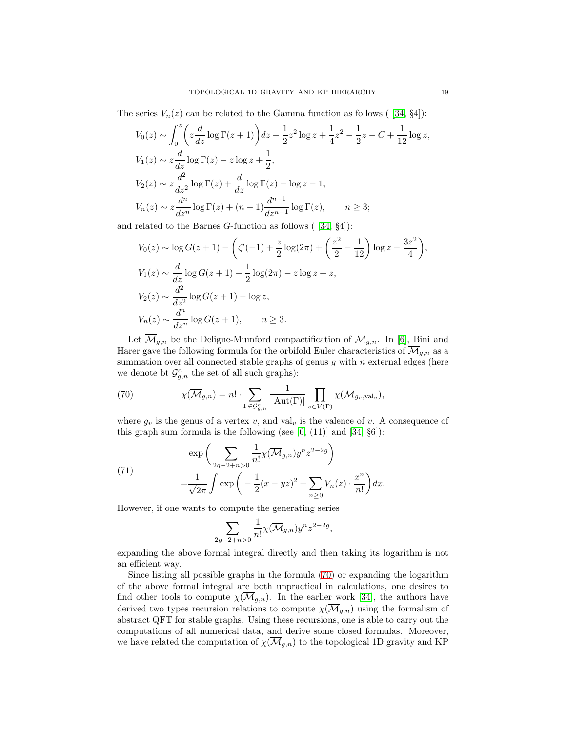The series  $V_n(z)$  can be related to the Gamma function as follows ( [\[34,](#page-31-0) §4]):

$$
V_0(z) \sim \int_0^z \left(z \frac{d}{dz} \log \Gamma(z+1)\right) dz - \frac{1}{2} z^2 \log z + \frac{1}{4} z^2 - \frac{1}{2} z - C + \frac{1}{12} \log z,
$$
  
\n
$$
V_1(z) \sim z \frac{d}{dz} \log \Gamma(z) - z \log z + \frac{1}{2},
$$
  
\n
$$
V_2(z) \sim z \frac{d^2}{dz^2} \log \Gamma(z) + \frac{d}{dz} \log \Gamma(z) - \log z - 1,
$$
  
\n
$$
V_n(z) \sim z \frac{d^n}{dz^n} \log \Gamma(z) + (n-1) \frac{d^{n-1}}{dz^{n-1}} \log \Gamma(z), \qquad n \ge 3;
$$

and related to the Barnes  $G$ -function as follows ( $[34, 84]$ ):

$$
V_0(z) \sim \log G(z+1) - \left(\zeta'(-1) + \frac{z}{2}\log(2\pi) + \left(\frac{z^2}{2} - \frac{1}{12}\right)\log z - \frac{3z^2}{4}\right),
$$
  
\n
$$
V_1(z) \sim \frac{d}{dz}\log G(z+1) - \frac{1}{2}\log(2\pi) - z\log z + z,
$$
  
\n
$$
V_2(z) \sim \frac{d^2}{dz^2}\log G(z+1) - \log z,
$$
  
\n
$$
V_n(z) \sim \frac{d^n}{dz^n}\log G(z+1), \qquad n \ge 3.
$$

Let  $\overline{\mathcal{M}}_{g,n}$  be the Deligne-Mumford compactification of  $\mathcal{M}_{g,n}$ . In [\[6\]](#page-30-1), Bini and Harer gave the following formula for the orbifold Euler characteristics of  $\mathcal{M}_{q,n}$  as a summation over all connected stable graphs of genus  $g$  with  $n$  external edges (here we denote bt  $\mathcal{G}^c_{g,n}$  the set of all such graphs):

<span id="page-18-0"></span>(70) 
$$
\chi(\overline{\mathcal{M}}_{g,n}) = n! \cdot \sum_{\Gamma \in \mathcal{G}_{g,n}^c} \frac{1}{|\operatorname{Aut}(\Gamma)|} \prod_{v \in V(\Gamma)} \chi(\mathcal{M}_{g_v, \operatorname{val}_v}),
$$

where  $g_v$  is the genus of a vertex v, and val<sub>v</sub> is the valence of v. A consequence of this graph sum formula is the following (see  $[6, (11)]$  and  $[34, \S6]$ ):

<span id="page-18-1"></span>(71)  

$$
\exp\left(\sum_{2g-2+n>0} \frac{1}{n!} \chi(\overline{\mathcal{M}}_{g,n}) y^n z^{2-2g}\right)
$$

$$
= \frac{1}{\sqrt{2\pi}} \int \exp\left(-\frac{1}{2}(x-yz)^2 + \sum_{n\geq 0} V_n(z) \cdot \frac{x^n}{n!}\right) dx.
$$

However, if one wants to compute the generating series

$$
\sum_{2g-2+n>0} \frac{1}{n!} \chi(\overline{\mathcal{M}}_{g,n}) y^n z^{2-2g},
$$

expanding the above formal integral directly and then taking its logarithm is not an efficient way.

Since listing all possible graphs in the formula [\(70\)](#page-18-0) or expanding the logarithm of the above formal integral are both unpractical in calculations, one desires to find other tools to compute  $\chi(\overline{\mathcal{M}}_{g,n})$ . In the earlier work [\[34\]](#page-31-0), the authors have derived two types recursion relations to compute  $\chi(\overline{\mathcal{M}}_{g,n})$  using the formalism of abstract QFT for stable graphs. Using these recursions, one is able to carry out the computations of all numerical data, and derive some closed formulas. Moreover, we have related the computation of  $\chi(\overline{\mathcal{M}}_{g,n})$  to the topological 1D gravity and KP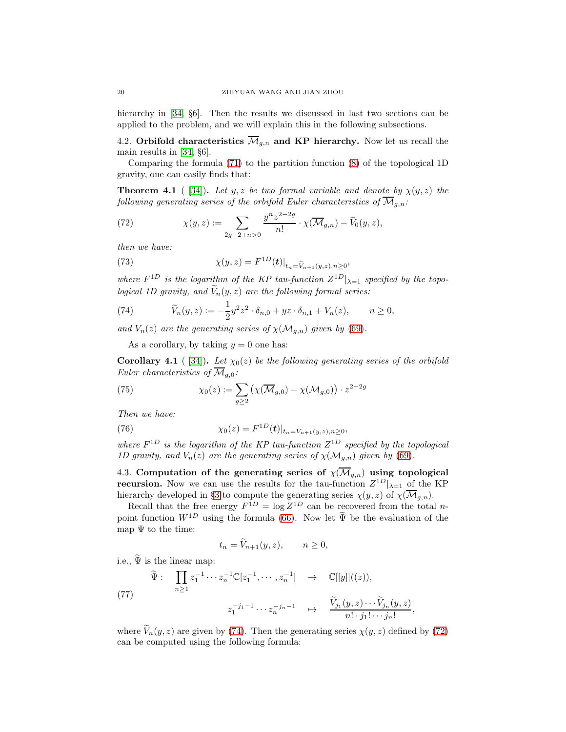hierarchy in [\[34,](#page-31-0)  $\S6$ ]. Then the results we discussed in last two sections can be applied to the problem, and we will explain this in the following subsections.

4.2. Orbifold characteristics  $\overline{\mathcal{M}}_{g,n}$  and KP hierarchy. Now let us recall the main results in [\[34,](#page-31-0) §6].

Comparing the formula [\(71\)](#page-18-1) to the partition function [\(8\)](#page-3-1) of the topological 1D gravity, one can easily finds that:

**Theorem 4.1** ( [\[34\]](#page-31-0)). Let y, z be two formal variable and denote by  $\chi(y, z)$  the following generating series of the orbifold Euler characteristics of  $\overline{\mathcal{M}}_{q,n}$ :

<span id="page-19-1"></span>(72) 
$$
\chi(y, z) := \sum_{2g-2+n>0} \frac{y^{n} z^{2-2g}}{n!} \cdot \chi(\overline{\mathcal{M}}_{g,n}) - \widetilde{V}_0(y, z),
$$

then we have:

(73) 
$$
\chi(y, z) = F^{1D}(t)|_{t_n = \widetilde{V}_{n+1}(y, z), n \ge 0},
$$

where  $F^{1D}$  is the logarithm of the KP tau-function  $Z^{1D}|_{\lambda=1}$  specified by the topological 1D gravity, and  $\widetilde{V}_n(y, z)$  are the following formal series:

<span id="page-19-0"></span>(74) 
$$
\widetilde{V}_n(y, z) := -\frac{1}{2} y^2 z^2 \cdot \delta_{n,0} + yz \cdot \delta_{n,1} + V_n(z), \qquad n \ge 0,
$$

and  $V_n(z)$  are the generating series of  $\chi(M_{q,n})$  given by [\(69\)](#page-17-1).

As a corollary, by taking  $y = 0$  one has:

Corollary 4.1 ( [\[34\]](#page-31-0)). Let  $\chi_0(z)$  be the following generating series of the orbifold Euler characteristics of  $\overline{\mathcal{M}}_{q,0}$ :

<span id="page-19-2"></span>(75) 
$$
\chi_0(z) := \sum_{g \ge 2} \left( \chi(\overline{\mathcal{M}}_{g,0}) - \chi(\mathcal{M}_{g,0}) \right) \cdot z^{2-2g}
$$

Then we have:

(76) 
$$
\chi_0(z) = F^{1D}(\mathbf{t})|_{t_n = V_{n+1}(y,z), n \geq 0},
$$

where  $F^{1D}$  is the logarithm of the KP tau-function  $Z^{1D}$  specified by the topological 1D gravity, and  $V_n(z)$  are the generating series of  $\chi(M_{g,n})$  given by [\(69\)](#page-17-1).

4.3. Computation of the generating series of  $\chi(\overline{\mathcal{M}}_{g,n})$  using topological **recursion.** Now we can use the results for the tau-function  $Z^{1D}|_{\lambda=1}$  of the KP hierarchy developed in §[3](#page-9-0) to compute the generating series  $\chi(y, z)$  of  $\chi(\overline{\mathcal{M}}_{g,n})$ .

Recall that the free energy  $F^{1D} = \log Z^{1D}$  can be recovered from the total *n*point function  $W^{1D}$  using the formula [\(66\)](#page-17-2). Now let  $\tilde{\Psi}$  be the evaluation of the map  $\Psi$  to the time:

$$
t_n = \widetilde{V}_{n+1}(y, z), \qquad n \ge 0,
$$

i.e.,  $\widetilde{\Psi}$  is the linear map:

<span id="page-19-3"></span>(77) 
$$
\widetilde{\Psi}: \prod_{n\geq 1} z_1^{-1} \cdots z_n^{-1} \mathbb{C}[z_1^{-1}, \cdots, z_n^{-1}] \rightarrow \mathbb{C}[[y]]((z)),
$$

$$
z_1^{-j_1-1} \cdots z_n^{-j_n-1} \mapsto \frac{\widetilde{V}_{j_1}(y, z) \cdots \widetilde{V}_{j_n}(y, z)}{n! \cdot j_1! \cdots j_n!},
$$

where  $\widetilde{V}_n(y, z)$  are given by [\(74\)](#page-19-0). Then the generating series  $\chi(y, z)$  defined by [\(72\)](#page-19-1) can be computed using the following formula: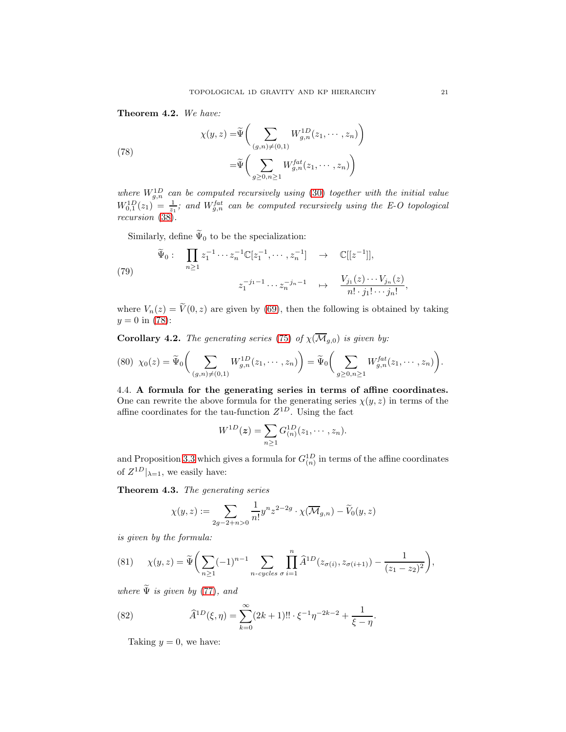Theorem 4.2. We have:

<span id="page-20-1"></span>(78)  

$$
\chi(y, z) = \widetilde{\Psi}\left(\sum_{(g,n)\neq(0,1)} W_{g,n}^{1D}(z_1, \dots, z_n)\right)
$$

$$
= \widetilde{\Psi}\left(\sum_{g\geq 0, n\geq 1} W_{g,n}^{fat}(z_1, \dots, z_n)\right)
$$

where  $W_{g,n}^{1D}$  can be computed recursively using [\(30\)](#page-7-1) together with the initial value  $W_{0,1}^{1D}(z_1) = \frac{1}{z_1}$ ; and  $W_{g,n}^{fat}$  can be computed recursively using the E-O topological recursion [\(38\)](#page-9-2).

Similarly, define  $\widetilde{\Psi}_0$  to be the specialization:

<span id="page-20-2"></span>(79) 
$$
\widetilde{\Psi}_0: \prod_{n\geq 1} z_1^{-1} \cdots z_n^{-1} \mathbb{C}[z_1^{-1}, \cdots, z_n^{-1}] \rightarrow \mathbb{C}[[z^{-1}]],
$$
  
 $z_1^{-j_1-1} \cdots z_n^{-j_n-1} \mapsto \frac{V_{j_1}(z) \cdots V_{j_n}(z)}{n! \cdot j_1! \cdots j_n!}$ 

where  $V_n(z) = \tilde{V}(0, z)$  are given by [\(69\)](#page-17-1), then the following is obtained by taking  $y = 0$  in [\(78\)](#page-20-1):

**Corollary 4.2.** The generating series [\(75\)](#page-19-2) of  $\chi(\overline{\mathcal{M}}_{g,0})$  is given by:

$$
(80) \ \chi_0(z) = \widetilde{\Psi}_0 \bigg( \sum_{(g,n) \neq (0,1)} W_{g,n}^{1D}(z_1, \dots, z_n) \bigg) = \widetilde{\Psi}_0 \bigg( \sum_{g \geq 0, n \geq 1} W_{g,n}^{fat}(z_1, \dots, z_n) \bigg).
$$

<span id="page-20-0"></span>4.4. A formula for the generating series in terms of affine coordinates. One can rewrite the above formula for the generating series  $\chi(y, z)$  in terms of the affine coordinates for the tau-function  $Z^{1D}$ . Using the fact

$$
W^{1D}(\bm{z}) = \sum_{n\geq 1} G^{1D}_{(n)}(z_1,\cdots,z_n).
$$

and Proposition [3.3](#page-15-2) which gives a formula for  $G_{(n)}^{1D}$  in terms of the affine coordinates of  $Z^{1D}|_{\lambda=1}$ , we easily have:

Theorem 4.3. The generating series

$$
\chi(y,z) := \sum_{2g-2+n>0} \frac{1}{n!} y^n z^{2-2g} \cdot \chi(\overline{\mathcal{M}}_{g,n}) - \widetilde{V}_0(y,z)
$$

is given by the formula:

<span id="page-20-3"></span>(81) 
$$
\chi(y, z) = \widetilde{\Psi}\bigg(\sum_{n \geq 1} (-1)^{n-1} \sum_{n-cycles \space \sigma} \prod_{i=1}^{n} \widehat{A}^{1D}(z_{\sigma(i)}, z_{\sigma(i+1)}) - \frac{1}{(z_1 - z_2)^2}\bigg),
$$

where  $\widetilde{\Psi}$  is given by [\(77\)](#page-19-3), and

(82) 
$$
\widehat{A}^{1D}(\xi,\eta) = \sum_{k=0}^{\infty} (2k+1)!! \cdot \xi^{-1} \eta^{-2k-2} + \frac{1}{\xi - \eta}.
$$

Taking  $y = 0$ , we have:

,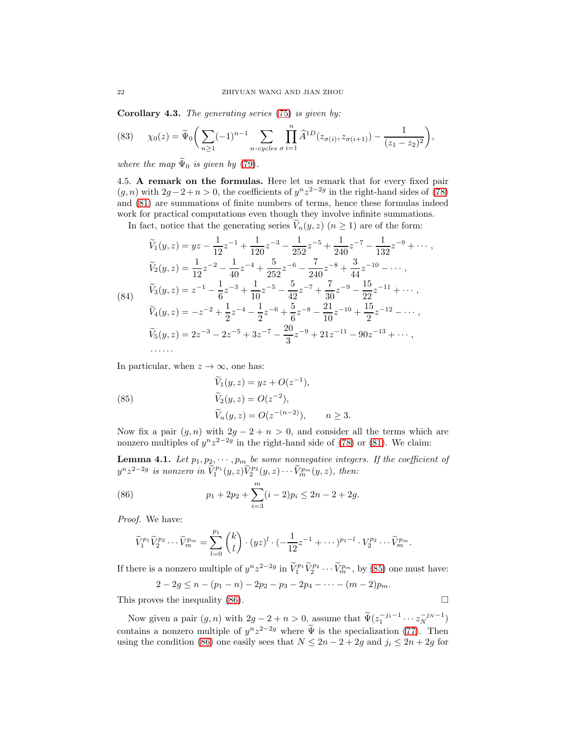Corollary 4.3. The generating series [\(75\)](#page-19-2) is given by:

(83) 
$$
\chi_0(z) = \widetilde{\Psi}_0\bigg(\sum_{n\geq 1}(-1)^{n-1}\sum_{n-cycles \atop n \text{ cycles}}\prod_{\sigma=1}^n \widehat{A}^{1D}(z_{\sigma(i)}, z_{\sigma(i+1)}) - \frac{1}{(z_1 - z_2)^2}\bigg),
$$

where the map  $\widetilde{\Psi}_0$  is given by [\(79\)](#page-20-2).

4.5. A remark on the formulas. Here let us remark that for every fixed pair  $(g, n)$  with  $2g - 2 + n > 0$ , the coefficients of  $y^n z^{2-2g}$  in the right-hand sides of [\(78\)](#page-20-1) and [\(81\)](#page-20-3) are summations of finite numbers of terms, hence these formulas indeed work for practical computations even though they involve infinite summations.

In fact, notice that the generating series  $\tilde{V}_n(y, z)$  ( $n \geq 1$ ) are of the form:

<span id="page-21-2"></span>
$$
\widetilde{V}_1(y,z) = yz - \frac{1}{12}z^{-1} + \frac{1}{120}z^{-3} - \frac{1}{252}z^{-5} + \frac{1}{240}z^{-7} - \frac{1}{132}z^{-9} + \cdots,
$$
\n
$$
\widetilde{V}_2(y,z) = \frac{1}{12}z^{-2} - \frac{1}{40}z^{-4} + \frac{5}{252}z^{-6} - \frac{7}{240}z^{-8} + \frac{3}{44}z^{-10} - \cdots,
$$
\n(84)\n
$$
\widetilde{V}_3(y,z) = z^{-1} - \frac{1}{6}z^{-3} + \frac{1}{10}z^{-5} - \frac{5}{42}z^{-7} + \frac{7}{30}z^{-9} - \frac{15}{22}z^{-11} + \cdots,
$$
\n
$$
\widetilde{V}_4(y,z) = -z^{-2} + \frac{1}{2}z^{-4} - \frac{1}{2}z^{-6} + \frac{5}{6}z^{-8} - \frac{21}{10}z^{-10} + \frac{15}{2}z^{-12} - \cdots,
$$
\n
$$
\widetilde{V}_5(y,z) = 2z^{-3} - 2z^{-5} + 3z^{-7} - \frac{20}{3}z^{-9} + 21z^{-11} - 90z^{-13} + \cdots,
$$

In particular, when  $z \to \infty$ , one has:

<span id="page-21-0"></span>(85) 
$$
\begin{aligned}\n\widetilde{V}_1(y, z) &= yz + O(z^{-1}), \\
\widetilde{V}_2(y, z) &= O(z^{-2}), \\
\widetilde{V}_n(y, z) &= O(z^{-(n-2)}), \quad n \ge 3.\n\end{aligned}
$$

Now fix a pair  $(g, n)$  with  $2g - 2 + n > 0$ , and consider all the terms which are nonzero multiples of  $y^{n}z^{2-2g}$  in the right-hand side of [\(78\)](#page-20-1) or [\(81\)](#page-20-3). We claim:

**Lemma 4.1.** Let  $p_1, p_2, \dots, p_m$  be some nonnegative integers. If the coefficient of  $y^{n}z^{2-2g}$  is nonzero in  $\widetilde{V}_{1}^{p_1}(y,z)\widetilde{V}_{2}^{p_2}(y,z)\cdots\widetilde{V}_{m}^{p_m}(y,z)$ , then:

(86) 
$$
p_1 + 2p_2 + \sum_{i=3}^{m} (i-2)p_i \le 2n - 2 + 2g.
$$

Proof. We have:

<span id="page-21-1"></span>
$$
\widetilde{V}_1^{p_1} \widetilde{V}_2^{p_2} \cdots \widetilde{V}_m^{p_m} = \sum_{l=0}^{p_1} {k \choose l} \cdot (yz)^l \cdot \left(-\frac{1}{12}z^{-1} + \cdots\right)^{p_1-l} \cdot V_2^{p_2} \cdots \widetilde{V}_m^{p_m}.
$$

If there is a nonzero multiple of  $y^n z^{2-2g}$  in  $\widetilde{V}_1^{p_1} \widetilde{V}_2^{p_2} \cdots \widetilde{V}_m^{p_m}$ , by [\(85\)](#page-21-0) one must have:

$$
2-2g \le n-(p_1-n)-2p_2-p_3-2p_4-\cdots-(m-2)p_m.
$$

This proves the inequality [\(86\)](#page-21-1).

Now given a pair  $(g, n)$  with  $2g - 2 + n > 0$ , assume that  $\widetilde{\Psi}(z_1^{-j_1-1} \cdots z_N^{-j_N-1})$ contains a nonzero multiple of  $y^n z^{2-2g}$  where  $\Psi$  is the specialization [\(77\)](#page-19-3). Then using the condition [\(86\)](#page-21-1) one easily sees that  $N \leq 2n - 2 + 2g$  and  $j_i \leq 2n + 2g$  for

$$
\sqcup
$$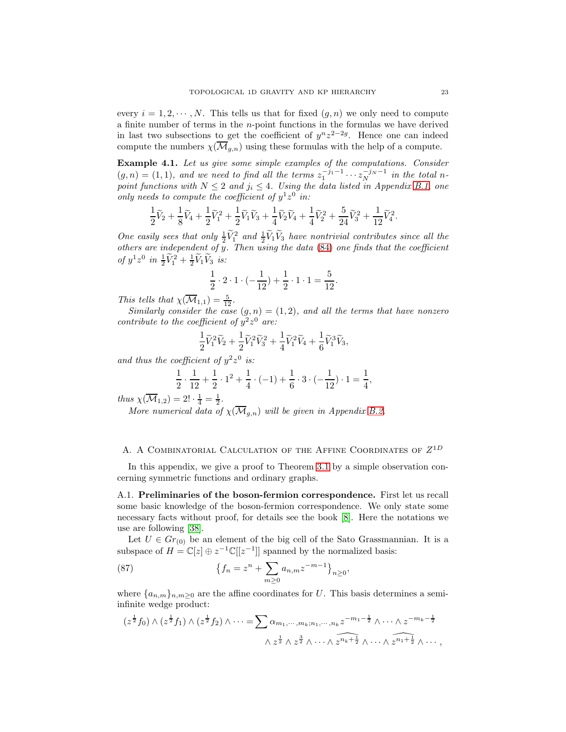every  $i = 1, 2, \dots, N$ . This tells us that for fixed  $(g, n)$  we only need to compute a finite number of terms in the  $n$ -point functions in the formulas we have derived in last two subsections to get the coefficient of  $y^{n}z^{2-2g}$ . Hence one can indeed compute the numbers  $\chi(\overline{\mathcal{M}}_{g,n})$  using these formulas with the help of a compute.

Example 4.1. Let us give some simple examples of the computations. Consider  $(g, n) = (1, 1)$ , and we need to find all the terms  $z_1^{-j_1-1} \cdots z_N^{-j_N-1}$  in the total npoint functions with  $N \leq 2$  and  $j_i \leq 4$ . Using the data listed in Appendix [B.1,](#page-27-1) one only needs to compute the coefficient of  $y^1z^0$  in:

$$
\frac{1}{2}\widetilde{V}_2 + \frac{1}{8}\widetilde{V}_4 + \frac{1}{2}\widetilde{V}_1^2 + \frac{1}{2}\widetilde{V}_1\widetilde{V}_3 + \frac{1}{4}\widetilde{V}_2\widetilde{V}_4 + \frac{1}{4}\widetilde{V}_2^2 + \frac{5}{24}\widetilde{V}_3^2 + \frac{1}{12}\widetilde{V}_4^2.
$$

One easily sees that only  $\frac{1}{2}\tilde{V}_1^2$  and  $\frac{1}{2}\tilde{V}_1\tilde{V}_3$  have nontrivial contributes since all the others are independent of y. Then using the data [\(84\)](#page-21-2) one finds that the coefficient of  $y^1z^0$  in  $\frac{1}{2}\tilde{V}_1^2 + \frac{1}{2}\tilde{V}_1\tilde{V}_3$  is:

$$
\frac{1}{2} \cdot 2 \cdot 1 \cdot (-\frac{1}{12}) + \frac{1}{2} \cdot 1 \cdot 1 = \frac{5}{12}.
$$

This tells that  $\chi(\overline{\mathcal{M}}_{1,1}) = \frac{5}{12}$ .

Similarly consider the case  $(g, n) = (1, 2)$ , and all the terms that have nonzero contribute to the coefficient of  $y^2z^0$  are:

$$
\frac{1}{2}\widetilde{V}_1^2\widetilde{V}_2+\frac{1}{2}\widetilde{V}_1^2\widetilde{V}_3^2+\frac{1}{4}\widetilde{V}_1^2\widetilde{V}_4+\frac{1}{6}\widetilde{V}_1^3\widetilde{V}_3,
$$

and thus the coefficient of  $y^2z^0$  is:

$$
\frac{1}{2} \cdot \frac{1}{12} + \frac{1}{2} \cdot 1^2 + \frac{1}{4} \cdot (-1) + \frac{1}{6} \cdot 3 \cdot (-\frac{1}{12}) \cdot 1 = \frac{1}{4},
$$

thus  $\chi(\overline{\mathcal{M}}_{1,2}) = 2! \cdot \frac{1}{4} = \frac{1}{2}.$ 

More numerical data of  $\chi(\overline{\mathcal{M}}_{q,n})$  will be given in Appendix [B.2.](#page-29-0)

### <span id="page-22-0"></span>A. A COMBINATORIAL CALCULATION OF THE AFFINE COORDINATES OF  $Z^{1D}$

In this appendix, we give a proof to Theorem [3.1](#page-10-1) by a simple observation concerning symmetric functions and ordinary graphs.

<span id="page-22-1"></span>A.1. Preliminaries of the boson-fermion correspondence. First let us recall some basic knowledge of the boson-fermion correspondence. We only state some necessary facts without proof, for details see the book [\[8\]](#page-30-5). Here the notations we use are following [\[38\]](#page-31-23).

Let  $U \in Gr_{(0)}$  be an element of the big cell of the Sato Grassmannian. It is a subspace of  $H = \mathbb{C}[z] \oplus z^{-1} \mathbb{C}[[z^{-1}]]$  spanned by the normalized basis:

(87) 
$$
\{f_n = z^n + \sum_{m \ge 0} a_{n,m} z^{-m-1}\}_{n \ge 0},
$$

where  $\{a_{n,m}\}_{n,m\geq 0}$  are the affine coordinates for U. This basis determines a semiinfinite wedge product:

$$
(z^{\frac{1}{2}}f_0) \wedge (z^{\frac{1}{2}}f_1) \wedge (z^{\frac{1}{2}}f_2) \wedge \cdots = \sum \alpha_{m_1, \dots, m_k; n_1, \dots, n_k} z^{-m_1 - \frac{1}{2}} \wedge \cdots \wedge z^{-m_k - \frac{1}{2}}
$$

$$
\wedge z^{\frac{1}{2}} \wedge z^{\frac{3}{2}} \wedge \cdots \wedge z^{\widehat{n_k + \frac{1}{2}}} \wedge \cdots \wedge z^{\widehat{n_1 + \frac{1}{2}}} \wedge \cdots ,
$$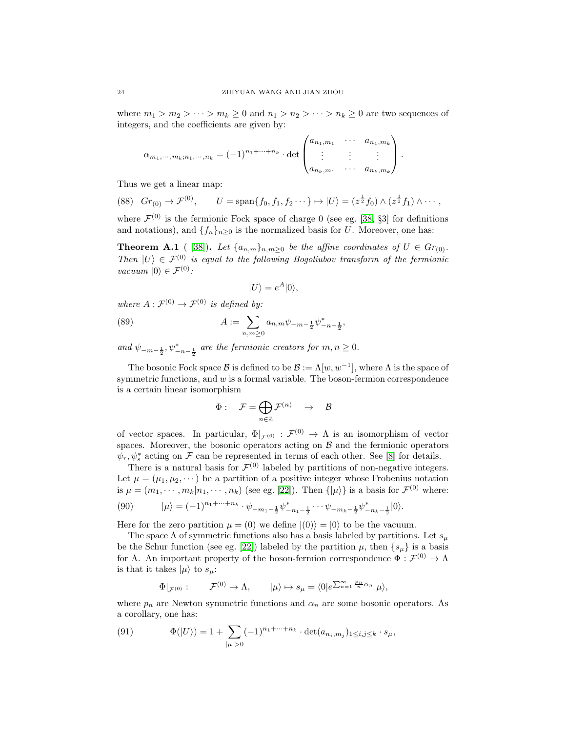where  $m_1 > m_2 > \cdots > m_k \geq 0$  and  $n_1 > n_2 > \cdots > n_k \geq 0$  are two sequences of integers, and the coefficients are given by:

$$
\alpha_{m_1,\dots,m_k;n_1,\dots,n_k} = (-1)^{n_1+\dots+n_k} \cdot \det \begin{pmatrix} a_{n_1,m_1} & \cdots & a_{n_1,m_k} \\ \vdots & \vdots & \vdots \\ a_{n_k,m_1} & \cdots & a_{n_k,m_k} \end{pmatrix}.
$$

Thus we get a linear map:

$$
(88) \quad Gr_{(0)} \to \mathcal{F}^{(0)}, \qquad U = \text{span}\{f_0, f_1, f_2 \cdots\} \mapsto |U\rangle = (z^{\frac{1}{2}}f_0) \wedge (z^{\frac{1}{2}}f_1) \wedge \cdots,
$$

where  $\mathcal{F}^{(0)}$  is the fermionic Fock space of charge 0 (see eg. [\[38,](#page-31-23) §3] for definitions and notations), and  $\{f_n\}_{n>0}$  is the normalized basis for U. Moreover, one has:

<span id="page-23-0"></span>**Theorem A.1** ( [\[38\]](#page-31-23)). Let  $\{a_{n,m}\}_{n,m\geq 0}$  be the affine coordinates of  $U \in Gr_{(0)}$ . Then  $|U\rangle \in \mathcal{F}^{(0)}$  is equal to the following Bogoliubov transform of the fermionic vacuum  $|0\rangle \in \mathcal{F}^{(0)}$ :

$$
|U\rangle = e^A|0\rangle,
$$

where  $A: \mathcal{F}^{(0)} \to \mathcal{F}^{(0)}$  is defined by:

(89) 
$$
A := \sum_{n,m \geq 0} a_{n,m} \psi_{-m-\frac{1}{2}} \psi_{-n-\frac{1}{2}}^*,
$$

and  $\psi_{-m-\frac{1}{2}}, \psi^*_{-n-\frac{1}{2}}$  are the fermionic creators for  $m, n \geq 0$ .

The bosonic Fock space  $\mathcal B$  is defined to be  $\mathcal B := \Lambda[w, w^{-1}]$ , where  $\Lambda$  is the space of symmetric functions, and w is a formal variable. The boson-fermion correspondence is a certain linear isomorphism

$$
\Phi:\quad \mathcal{F}=\bigoplus_{n\in\mathbb{Z}}\mathcal{F}^{(n)}\quad\rightarrow\quad \mathcal{B}
$$

of vector spaces. In particular,  $\Phi|_{\mathcal{F}^{(0)}} : \mathcal{F}^{(0)} \to \Lambda$  is an isomorphism of vector spaces. Moreover, the bosonic operators acting on  $\beta$  and the fermionic operators  $\psi_r, \psi_s^*$  acting on F can be represented in terms of each other. See [\[8\]](#page-30-5) for details.

There is a natural basis for  $\mathcal{F}^{(0)}$  labeled by partitions of non-negative integers. Let  $\mu = (\mu_1, \mu_2, \dots)$  be a partition of a positive integer whose Frobenius notation is  $\mu = (m_1, \dots, m_k | n_1, \dots, n_k)$  (see eg. [\[22\]](#page-31-27)). Then  $\{ |\mu \rangle \}$  is a basis for  $\mathcal{F}^{(0)}$  where:

$$
(90) \qquad |\mu\rangle = (-1)^{n_1 + \dots + n_k} \cdot \psi_{-m_1 - \frac{1}{2}} \psi_{-n_1 - \frac{1}{2}}^* \cdots \psi_{-m_k - \frac{1}{2}} \psi_{-n_k - \frac{1}{2}}^* |0\rangle.
$$

Here for the zero partition  $\mu = (0)$  we define  $|(0)\rangle = |0\rangle$  to be the vacuum.

The space  $\Lambda$  of symmetric functions also has a basis labeled by partitions. Let  $s_{\mu}$ be the Schur function (see eg. [\[22\]](#page-31-27)) labeled by the partition  $\mu$ , then  $\{s_{\mu}\}\$ is a basis for  $\Lambda$ . An important property of the boson-fermion correspondence  $\Phi : \mathcal{F}^{(0)} \to \Lambda$ is that it takes  $|\mu\rangle$  to  $s_{\mu}$ :

$$
\Phi|_{\mathcal{F}^{(0)}}: \qquad \mathcal{F}^{(0)} \rightarrow \Lambda, \qquad |\mu\rangle \mapsto s_{\mu} = \langle 0|e^{\sum_{n=1}^{\infty}\frac{p_n}{n}\alpha_n}|\mu\rangle,
$$

where  $p_n$  are Newton symmetric functions and  $\alpha_n$  are some bosonic operators. As a corollary, one has:

(91) 
$$
\Phi(|U\rangle) = 1 + \sum_{|\mu|>0} (-1)^{n_1 + \dots + n_k} \cdot \det(a_{n_i, m_j})_{1 \leq i, j \leq k} \cdot s_{\mu},
$$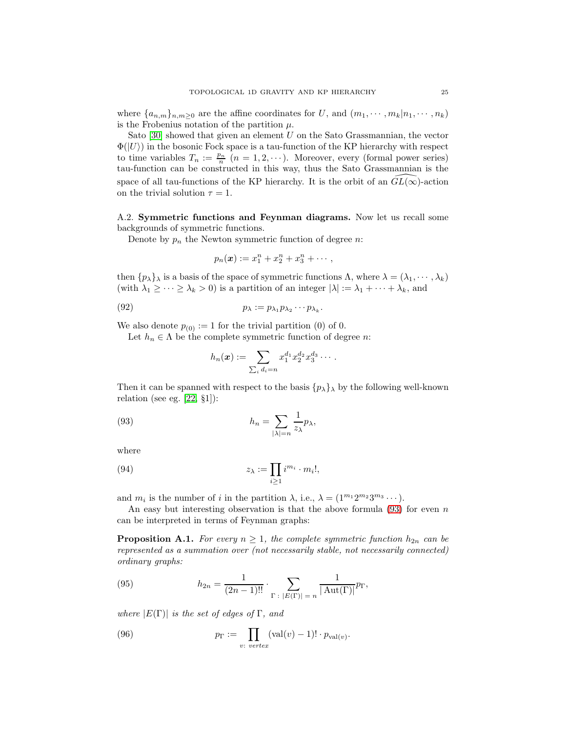where  $\{a_{n,m}\}_{n,m\geq 0}$  are the affine coordinates for U, and  $(m_1, \dots, m_k | n_1, \dots, n_k)$ is the Frobenius notation of the partition  $\mu$ .

Sato  $[30]$  showed that given an element U on the Sato Grassmannian, the vector  $\Phi(|U\rangle)$  in the bosonic Fock space is a tau-function of the KP hierarchy with respect to time variables  $T_n := \frac{p_n}{n}$   $(n = 1, 2, \cdots)$ . Moreover, every (formal power series) tau-function can be constructed in this way, thus the Sato Grassmannian is the space of all tau-functions of the KP hierarchy. It is the orbit of an  $GL(\infty)$ -action on the trivial solution  $\tau = 1$ .

A.2. Symmetric functions and Feynman diagrams. Now let us recall some backgrounds of symmetric functions.

Denote by  $p_n$  the Newton symmetric function of degree n:

$$
p_n(\bm{x}) := x_1^n + x_2^n + x_3^n + \cdots,
$$

then  $\{p_{\lambda}\}_{\lambda}$  is a basis of the space of symmetric functions  $\Lambda$ , where  $\lambda = (\lambda_1, \dots, \lambda_k)$ (with  $\lambda_1 \geq \cdots \geq \lambda_k > 0$ ) is a partition of an integer  $|\lambda| := \lambda_1 + \cdots + \lambda_k$ , and

(92) 
$$
p_{\lambda} := p_{\lambda_1} p_{\lambda_2} \cdots p_{\lambda_k}.
$$

We also denote  $p_{(0)} := 1$  for the trivial partition (0) of 0.

Let  $h_n \in \Lambda$  be the complete symmetric function of degree n:

<span id="page-24-0"></span>
$$
h_n(\boldsymbol{x}) := \sum_{\sum_i d_i = n} x_1^{d_1} x_2^{d_2} x_3^{d_3} \cdots
$$

Then it can be spanned with respect to the basis  $\{p_\lambda\}$  by the following well-known relation (see eg.  $[22, \, \S1]$ ):

(93) 
$$
h_n = \sum_{|\lambda|=n} \frac{1}{z_{\lambda}} p_{\lambda},
$$

where

(94) 
$$
z_{\lambda} := \prod_{i \geq 1} i^{m_i} \cdot m_i!,
$$

and  $m_i$  is the number of i in the partition  $\lambda$ , i.e.,  $\lambda = (1^{m_1}2^{m_2}3^{m_3}\cdots)$ .

An easy but interesting observation is that the above formula  $(93)$  for even n can be interpreted in terms of Feynman graphs:

**Proposition A.1.** For every  $n \geq 1$ , the complete symmetric function  $h_{2n}$  can be represented as a summation over (not necessarily stable, not necessarily connected) ordinary graphs:

<span id="page-24-1"></span>(95) 
$$
h_{2n} = \frac{1}{(2n-1)!!} \cdot \sum_{\Gamma \; : \; |E(\Gamma)| = n} \frac{1}{|\operatorname{Aut}(\Gamma)|} p_{\Gamma},
$$

where  $|E(\Gamma)|$  is the set of edges of  $\Gamma$ , and

(96) 
$$
p_{\Gamma} := \prod_{v: \, vertex} (\text{val}(v) - 1)! \cdot p_{\text{val}(v)}.
$$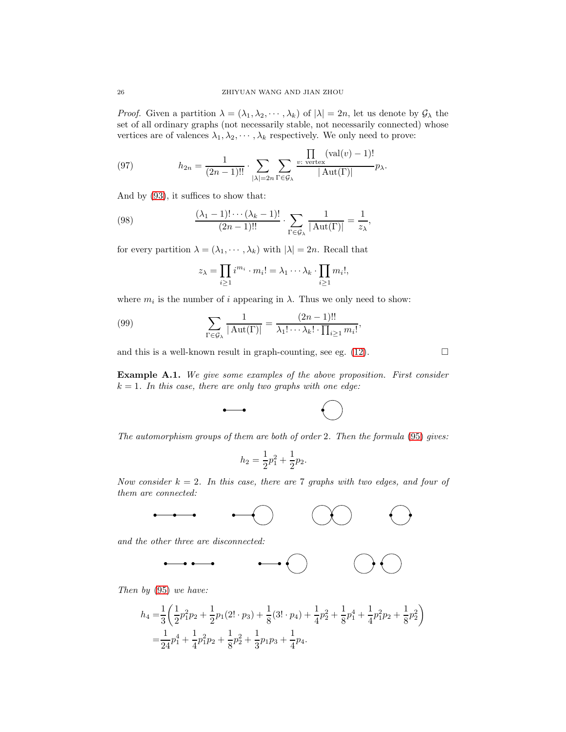*Proof.* Given a partition  $\lambda = (\lambda_1, \lambda_2, \cdots, \lambda_k)$  of  $|\lambda| = 2n$ , let us denote by  $\mathcal{G}_{\lambda}$  the set of all ordinary graphs (not necessarily stable, not necessarily connected) whose vertices are of valences  $\lambda_1, \lambda_2, \cdots, \lambda_k$  respectively. We only need to prove:

(97) 
$$
h_{2n} = \frac{1}{(2n-1)!!} \cdot \sum_{|\lambda|=2n} \sum_{\Gamma \in \mathcal{G}_{\lambda}} \frac{\prod_{v:\text{ vertex}} (\text{val}(v) - 1)!}{|\text{Aut}(\Gamma)|} p_{\lambda}.
$$

And by [\(93\)](#page-24-0), it suffices to show that:

(98) 
$$
\frac{(\lambda_1 - 1)! \cdots (\lambda_k - 1)!}{(2n - 1)!!} \cdot \sum_{\Gamma \in \mathcal{G}_{\lambda}} \frac{1}{|\operatorname{Aut}(\Gamma)|} = \frac{1}{z_{\lambda}},
$$

for every partition  $\lambda = (\lambda_1, \dots, \lambda_k)$  with  $|\lambda| = 2n$ . Recall that

$$
z_{\lambda} = \prod_{i \geq 1} i^{m_i} \cdot m_i! = \lambda_1 \cdots \lambda_k \cdot \prod_{i \geq 1} m_i!,
$$

where  $m_i$  is the number of i appearing in  $\lambda$ . Thus we only need to show:

(99) 
$$
\sum_{\Gamma \in \mathcal{G}_{\lambda}} \frac{1}{|\operatorname{Aut}(\Gamma)|} = \frac{(2n-1)!!}{\lambda_1! \cdots \lambda_k! \cdot \prod_{i \geq 1} m_i!},
$$

and this is a well-known result in graph-counting, see eg. [\(12\)](#page-4-5).

Example A.1. We give some examples of the above proposition. First consider  $k = 1$ . In this case, there are only two graphs with one edge:



The automorphism groups of them are both of order 2. Then the formula [\(95\)](#page-24-1) gives:

$$
h_2 = \frac{1}{2}p_1^2 + \frac{1}{2}p_2.
$$

Now consider  $k = 2$ . In this case, there are 7 graphs with two edges, and four of them are connected:

$$
\begin{array}{cccc}\n\bullet & \bullet & \bullet & \bullet & \bullet & \bullet & \bullet\n\end{array}
$$

and the other three are disconnected:

Then by [\(95\)](#page-24-1) we have:

$$
h_4 = \frac{1}{3} \left( \frac{1}{2} p_1^2 p_2 + \frac{1}{2} p_1 (2! \cdot p_3) + \frac{1}{8} (3! \cdot p_4) + \frac{1}{4} p_2^2 + \frac{1}{8} p_1^4 + \frac{1}{4} p_1^2 p_2 + \frac{1}{8} p_2^2 \right)
$$
  
=  $\frac{1}{24} p_1^4 + \frac{1}{4} p_1^2 p_2 + \frac{1}{8} p_2^2 + \frac{1}{3} p_1 p_3 + \frac{1}{4} p_4.$ 

$$
\Box
$$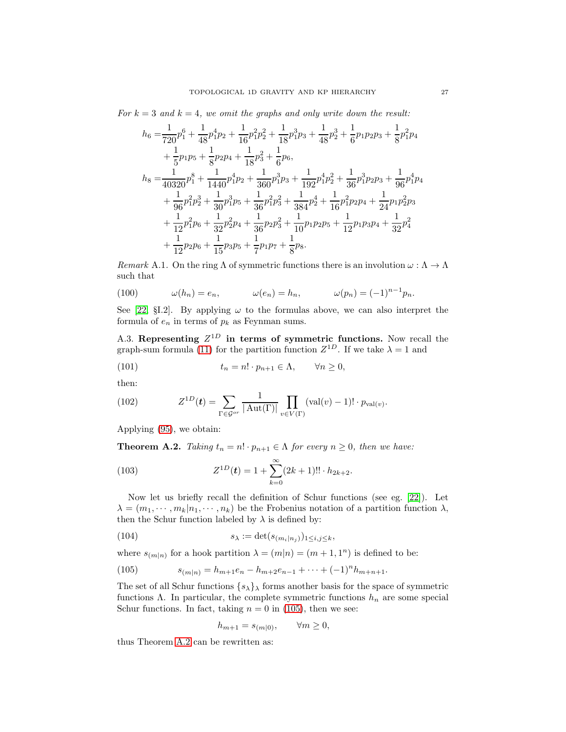For  $k = 3$  and  $k = 4$ , we omit the graphs and only write down the result:

$$
h_6 = \frac{1}{720}p_1^6 + \frac{1}{48}p_1^4p_2 + \frac{1}{16}p_1^2p_2^2 + \frac{1}{18}p_1^3p_3 + \frac{1}{48}p_2^3 + \frac{1}{6}p_1p_2p_3 + \frac{1}{8}p_1^2p_4
$$
  
+  $\frac{1}{5}p_1p_5 + \frac{1}{8}p_2p_4 + \frac{1}{18}p_3^2 + \frac{1}{6}p_6$ ,  

$$
h_8 = \frac{1}{40320}p_1^8 + \frac{1}{1440}p_1^4p_2 + \frac{1}{360}p_1^3p_3 + \frac{1}{192}p_1^4p_2^2 + \frac{1}{36}p_1^3p_2p_3 + \frac{1}{96}p_1^4p_4
$$
  
+  $\frac{1}{96}p_1^2p_2^3 + \frac{1}{30}p_1^3p_5 + \frac{1}{36}p_1^2p_3^2 + \frac{1}{384}p_2^4 + \frac{1}{16}p_1^2p_2p_4 + \frac{1}{24}p_1p_2^2p_3$   
+  $\frac{1}{12}p_1^2p_6 + \frac{1}{32}p_2^2p_4 + \frac{1}{36}p_2p_3^2 + \frac{1}{10}p_1p_2p_5 + \frac{1}{12}p_1p_3p_4 + \frac{1}{32}p_4^2$   
+  $\frac{1}{12}p_2p_6 + \frac{1}{15}p_3p_5 + \frac{1}{7}p_1p_7 + \frac{1}{8}p_8$ .

Remark A.1. On the ring  $\Lambda$  of symmetric functions there is an involution  $\omega : \Lambda \to \Lambda$ such that

(100) 
$$
\omega(h_n) = e_n, \qquad \omega(e_n) = h_n, \qquad \omega(p_n) = (-1)^{n-1} p_n.
$$

See [\[22,](#page-31-27) §I.2]. By applying  $\omega$  to the formulas above, we can also interpret the formula of  $e_n$  in terms of  $p_k$  as Feynman sums.

A.3. Representing  $Z^{1D}$  in terms of symmetric functions. Now recall the graph-sum formula [\(11\)](#page-4-1) for the partition function  $Z^{1D}$ . If we take  $\lambda = 1$  and

(101) 
$$
t_n = n! \cdot p_{n+1} \in \Lambda, \qquad \forall n \geq 0,
$$

then:

(102) 
$$
Z^{1D}(\boldsymbol{t}) = \sum_{\Gamma \in \mathcal{G}^{or}} \frac{1}{|\operatorname{Aut}(\Gamma)|} \prod_{v \in V(\Gamma)} (\operatorname{val}(v) - 1)! \cdot p_{\operatorname{val}(v)}.
$$

Applying [\(95\)](#page-24-1), we obtain:

<span id="page-26-1"></span>**Theorem A.2.** Taking  $t_n = n! \cdot p_{n+1} \in \Lambda$  for every  $n \geq 0$ , then we have:

(103) 
$$
Z^{1D}(t) = 1 + \sum_{k=0}^{\infty} (2k+1)!! \cdot h_{2k+2}.
$$

Now let us briefly recall the definition of Schur functions (see eg. [\[22\]](#page-31-27)). Let  $\lambda = (m_1, \dots, m_k | n_1, \dots, n_k)$  be the Frobenius notation of a partition function  $\lambda$ , then the Schur function labeled by  $\lambda$  is defined by:

(104) 
$$
s_{\lambda} := \det(s_{(m_i|n_j)})_{1 \leq i,j \leq k},
$$

where  $s_{(m|n)}$  for a hook partition  $\lambda = (m|n) = (m + 1, 1^n)$  is defined to be:

<span id="page-26-0"></span>(105) 
$$
s_{(m|n)} = h_{m+1}e_n - h_{m+2}e_{n-1} + \dots + (-1)^n h_{m+n+1}.
$$

The set of all Schur functions  $\{s_{\lambda}\}\$  forms another basis for the space of symmetric functions  $\Lambda$ . In particular, the complete symmetric functions  $h_n$  are some special Schur functions. In fact, taking  $n = 0$  in [\(105\)](#page-26-0), then we see:

$$
h_{m+1} = s_{(m|0)}, \qquad \forall m \ge 0,
$$

thus Theorem [A.2](#page-26-1) can be rewritten as: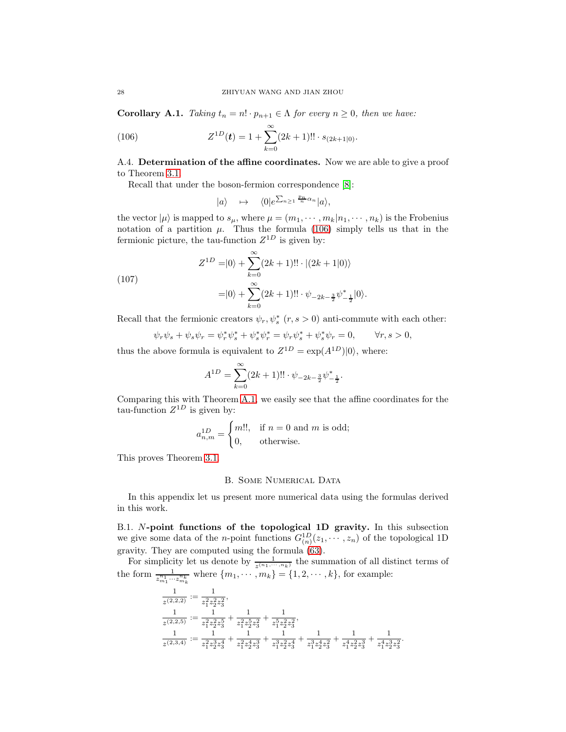**Corollary A.1.** Taking  $t_n = n! \cdot p_{n+1} \in \Lambda$  for every  $n \geq 0$ , then we have:

(106) 
$$
Z^{1D}(t) = 1 + \sum_{k=0}^{\infty} (2k+1)!! \cdot s_{(2k+1|0)}.
$$

A.4. Determination of the affine coordinates. Now we are able to give a proof to Theorem [3.1.](#page-10-1)

Recall that under the boson-fermion correspondence [\[8\]](#page-30-5):

<span id="page-27-2"></span>
$$
|a\rangle \quad \mapsto \quad \langle 0|e^{\sum_{n\geq 1}\frac{p_n}{n}\alpha_n}|a\rangle,
$$

the vector  $|\mu\rangle$  is mapped to  $s_{\mu}$ , where  $\mu = (m_1, \dots, m_k | n_1, \dots, n_k)$  is the Frobenius notation of a partition  $\mu$ . Thus the formula [\(106\)](#page-27-2) simply tells us that in the fermionic picture, the tau-function  $Z^{1D}$  is given by:

(107) 
$$
Z^{1D} = |0\rangle + \sum_{k=0}^{\infty} (2k+1)!! \cdot |(2k+1|0)\rangle
$$

$$
= |0\rangle + \sum_{k=0}^{\infty} (2k+1)!! \cdot \psi_{-2k-\frac{3}{2}} \psi_{-\frac{1}{2}}^* |0\rangle.
$$

Recall that the fermionic creators  $\psi_r, \psi_s^*$   $(r, s > 0)$  anti-commute with each other:

$$
\psi_r \psi_s + \psi_s \psi_r = \psi_r^* \psi_s^* + \psi_s^* \psi_r^* = \psi_r \psi_s^* + \psi_s^* \psi_r = 0, \qquad \forall r, s > 0,
$$

thus the above formula is equivalent to  $Z^{1D} = \exp(A^{1D})|0\rangle$ , where:

$$
A^{1D} = \sum_{k=0}^{\infty} (2k+1)!! \cdot \psi_{-2k-\frac{3}{2}} \psi_{-\frac{1}{2}}^*.
$$

Comparing this with Theorem [A.1,](#page-23-0) we easily see that the affine coordinates for the tau-function  $Z^{1D}$  is given by:

$$
a_{n,m}^{1D} = \begin{cases} m!!, & \text{if } n = 0 \text{ and } m \text{ is odd;} \\ 0, & \text{otherwise.} \end{cases}
$$

<span id="page-27-0"></span>This proves Theorem [3.1.](#page-10-1)

### B. SOME NUMERICAL DATA

In this appendix let us present more numerical data using the formulas derived in this work.

<span id="page-27-1"></span>B.1. N-point functions of the topological 1D gravity. In this subsection we give some data of the *n*-point functions  $G_{(n)}^{1D}(z_1, \dots, z_n)$  of the topological 1D gravity. They are computed using the formula [\(63\)](#page-15-3).

For simplicity let us denote by  $\frac{1}{z^{(n_1,\dots,n_k)}}$  the summation of all distinct terms of the form  $\frac{1}{z_{m_1}^{n_1} \cdots z_{m_k}^{n_k}}$  where  $\{m_1, \cdots, m_k\} = \{1, 2, \cdots, k\}$ , for example:

$$
\begin{aligned} \frac{1}{z^{(2,2,2)}}&:=\frac{1}{z_1^2z_2^2z_3^2},\\ \frac{1}{z^{(2,2,5)}}&:=\frac{1}{z_1^2z_2^2z_3^5}+\frac{1}{z_1^2z_2^5z_3^2}+\frac{1}{z_1^5z_2^2z_3^2},\\ \frac{1}{z^{(2,3,4)}}&:=\frac{1}{z_1^2z_2^3z_3^4}+\frac{1}{z_1^2z_2^4z_3^3}+\frac{1}{z_1^3z_2^2z_3^4}+\frac{1}{z_1^4z_2^2z_3^3}+\frac{1}{z_1^4z_2^2z_3^3}+\frac{1}{z_1^4z_2^3z_3^2}. \end{aligned}
$$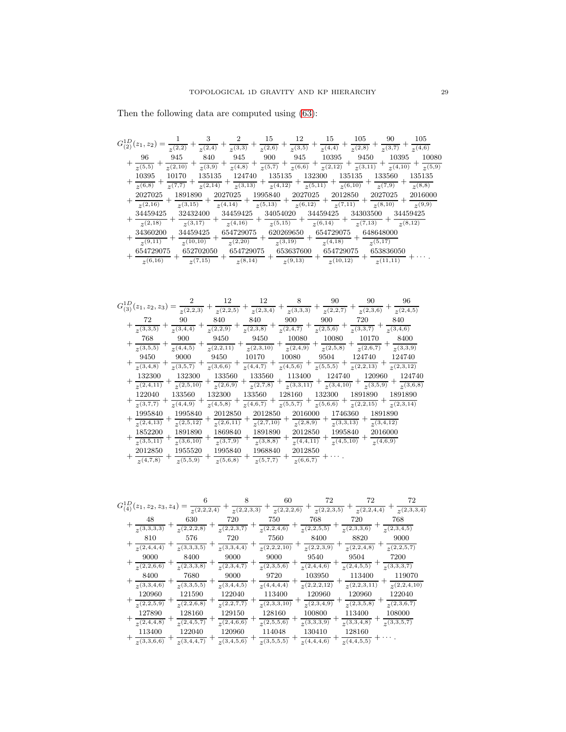Then the following data are computed using [\(63\)](#page-15-3):

| $G_{(2)}^{1D}(z_1,z_2)$ |             |           |           | 15       | 12        | 15          | 105                     | 90                     | 105      |
|-------------------------|-------------|-----------|-----------|----------|-----------|-------------|-------------------------|------------------------|----------|
|                         | $z^{(2,2)}$ | (2,4)     | (3,3)     | 2(2,6)   | (3,5)     | $z^{(4,4)}$ | (2,8)                   | $\overline{z^{(3,7)}}$ | (4,6)    |
| 96                      | 945         | 840       | 945       | 900      | 945       | 10395       | 9450                    | 10395                  | 10080    |
| $\overline{\chi(5,5)}$  | (2,10)      | (3,9)     | (4,8)     | 2(5,7)   | (6,6)     | (2,12)      | $\overline{\chi(3,11)}$ | (4,10)                 | (5,9)    |
| 10395                   | 10170       | 135135    | 124740    | 135135   | 132300    |             | 135135                  | 133560                 | 135135   |
| (6,8)                   | $_{2}(7,7)$ | 2(2,14)   | (3,13)    | (4,12)   | 2(5,11)   |             | (6,10)                  | (7,9)                  | (8,8)    |
| 2027025                 | 1891890     |           | 2027025   | 1995840  | 2027025   | 2012850     |                         | 2027025                | 2016000  |
| (2,16)                  | (3,15)      |           | 2(4,14)   | (5,13)   | (6,12)    | 2(7,11)     |                         | (8,10)                 | (9,9)    |
| 34459425                |             | 32432400  | 34459425  | 34054020 |           | 34459425    | 34303500                |                        | 34459425 |
| (2,18)                  |             | (3,17)    | (4,16)    | (5,15)   |           | (6,14)      | (7,13)                  |                        | (8,12)   |
| 34360200                |             | 34459425  | 654729075 |          | 620269650 | 654729075   |                         | 648648000              |          |
| (9,11)                  |             | (10,10)   | (2,20)    |          | (3,19)    | (4,18)      |                         | (5,17)                 |          |
| 654729075               |             | 652702050 | 654729075 |          | 653637600 | 654729075   |                         | 653836050              |          |
| (6,16)                  |             | (7,15)    | (8,14)    |          | (9,13)    | (10,12)     |                         | (11,11)                |          |

|                              |                   | 12                   | 12                    |                         | 90                                             | 90                   | 96        |
|------------------------------|-------------------|----------------------|-----------------------|-------------------------|------------------------------------------------|----------------------|-----------|
| $G_{(3)}^{1D}(z_1,z_2,z_3)=$ | $z^{(2,2,3)}$     | $z^{(2,2,5)}$        | (2,3,4)               | (3,3,3)                 | $\sqrt{(2,2,7)}$                               | (2,3,6)              | (2, 4, 5) |
| 72                           | 90                | 840                  | 840                   | 900                     | 900                                            | 720                  | 840       |
| (3,3,5)                      | (3,4,4)           | $\sqrt{(2,2,9)}$     | (2,3,8)               | $\frac{1}{z^{(2,4,7)}}$ | $\sqrt{2(,5,6)}$                               | $\frac{1}{2}(3,3,7)$ | (3, 4, 6) |
| 768                          | 900               | 9450                 | 9450                  | 10080                   | 10080                                          | 10170                | 8400      |
| $\sqrt{(3,5,5)}$             | (4,4,5)           | $\sqrt{2(2,2,11)}$   | $\frac{1}{2}(2,3,10)$ | $\sqrt{2(4,9)}$         | (2,5,8)                                        | $(2,\overline{6,7})$ | (3,3,9)   |
| 9450                         | 9000              | 9450                 | 10170                 | 10080                   | 9504                                           | 124740               | 124740    |
| (3, 4, 8)                    | (3,5,7)           | $\sqrt{(3,6,6)}$     | (4,4,7)               | $\frac{1}{2}(4,5,6)$    | (5,5,5)                                        | (2,2,13)             | (2,3,12)  |
| 132300                       | 132300            | 133560               | 133560                | 113400                  | 124740                                         | 120960               | 124740    |
| (2,4,11)                     | (2,5,10)          | $(2,\overline{6,9})$ | $\sqrt{(2,7,8)}$      | $\sqrt{2^{(3,3,11)}}$   | $\frac{1}{z^{(3,4,10)}}$ +                     | (3,5,9)              | (3,6,8)   |
| 122040                       | 133560            | 132300               | 133560                | 128160                  | 132300                                         | 1891890              | 1891890   |
| (3,7,7)                      | (4,4,9)           | $\sqrt{(4,5,8)}$     | $\frac{1}{2}(4,6,7)$  | $\frac{1}{2}(5,5,7)$    | $\frac{}{z^{(5,6,6)}} + \frac{}{z^{(2,2,15)}}$ |                      | (2,3,14)  |
| 1995840                      | 1995840           | 2012850              | 2012850               | 2016000                 | 1746360                                        | 1891890              |           |
| (2,4,13)                     | (2,5,12)          | $\sqrt{2,6,11}$      | $\sqrt{(2,7,10)}$     | (2,8,9)                 | (3,3,13)                                       | (3,4,12)             |           |
| 1852200                      | 1891890           | 1869840              | 1891890               | 2012850                 | 1995840                                        | 2016000              |           |
| $\sqrt{(3,5,11)}$            | $\sqrt{(3,6,10)}$ | $\sqrt{(3,7,9)}$     | (3,8,8)               | $z^{(4,4,11)}$          | (4,5,10)                                       | (4,6,9)              |           |
| 2012850                      | 1955520           | 1995840              | 1968840               | 2012850                 |                                                |                      |           |
| (4,7,8)                      | (5,5,9)           | (5,6,8)              | $(5,7,\overline{7})$  | (6, 6, 7)               |                                                |                      |           |

| $G_{(4)}^{1D}(z_1, z_2, z_3, z_4)$ | $\sqrt{(2,2,2,4)}$  | $\sqrt{(2,2,3,3)}$        | 60<br>$\sqrt{(2,2,2,6)}$             | 72<br>$\sqrt{(2,2,3,5)}$ | 72<br>$\sqrt{(2,2,4,4)}$     | 72<br>(2,3,3,4)        |
|------------------------------------|---------------------|---------------------------|--------------------------------------|--------------------------|------------------------------|------------------------|
| 48                                 | 630                 | 720                       | 750                                  | 768                      | 720                          | 768                    |
| (3,3,3,3)<br>810                   | (2,2,2,8)<br>576    | $\sqrt{(2,2,3,7)}$<br>720 | $\sqrt{(2,2,4,6)}$<br>7560           | (2,2,5,5)<br>8400        | (2,3,3,6)<br>8820            | (2,3,4,5)<br>9000      |
| $\sqrt{(2,4,4,4)}$                 | (3,3,3,5)           | $\sqrt{(3,3,4,4)}$        | $\sqrt{2,2,2,10}$                    | (2,2,3,9)                | (2,2,4,8)                    | (2,2,5,7)              |
| 9000                               | 8400                | 9000                      | 9000                                 | 9540                     | 9504                         | 7200                   |
| (2,2,6,6)                          | (2,3,3,8)           | (2,3,4,7)                 | (2,3,5,6)                            | (2,4,4,6)                | (2,4,5,5)                    | (3,3,3,7)              |
| 8400                               | 7680                | 9000                      | 9720                                 | 103950                   | 113400                       | 119070                 |
| $\sqrt{(3,3,4,6)}$                 | (3,3,5,5)           | (3,4,4,5)                 | (4,4,4,4)                            | (2,2,2,12)               | (2,2,3,11)                   | (2,2,4,10)             |
| 120960                             | 121590              | 122040                    | 113400                               | 120960                   | 120960                       | 122040                 |
| (2,2,5,9)                          | (2,2,6,8)           | (2,2,7,7)                 | (2,3,3,10)                           | (2,3,4,9)                | (2,3,5,8)                    | (2,3,6,7)              |
| 127890                             | 128160              | 129150                    | 128160                               | 100800                   | 113400                       | 108000                 |
| (2,4,4,8)                          | (2,4,5,7)           | (2,4,6,6)                 | (2,5,5,6)                            | $(3,3,3,\overline{3,9})$ | (3,3,4,8)                    | $(3,3,5,\overline{7})$ |
| 113400<br>(3,3,6,6)                | 122040<br>(3,4,4,7) | 120960<br>(3,4,5,6)       | 114048<br>$\overline{\chi(3,5,5,5)}$ | 130410<br>(4,4,4,6)      | 128160<br>$\sqrt{(4,4,5,5)}$ |                        |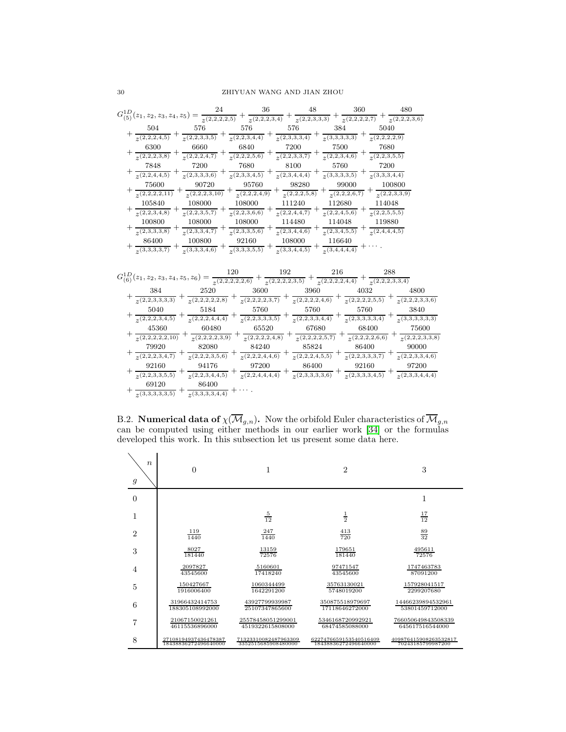| $G_{(5)}^{1D}(z_1,z_2,z_3,z_4,z_5)$ | 24<br>$2(2,2,\overline{2,2,5})$ | 36<br>$\overline{z^{(2,2,2,3,4)}}$ | 48<br>$\sqrt{2(2,2,3,3,3)}$ | 360<br>$(2,2,2,2,\overline{7})$ | 480<br>(2,2,2,3,6) |
|-------------------------------------|---------------------------------|------------------------------------|-----------------------------|---------------------------------|--------------------|
| 504                                 | 576                             | 576                                | 576                         | 384                             | 5040               |
| (2,2,2,4,5)                         | $\sqrt{2,2,3,3,5}$              | (2,2,3,4,4)                        | (2,3,3,3,4)                 | (3,3,3,3,3)                     | (2,2,2,2,9)        |
| 6300                                | 6660                            | 6840                               | 7200                        | 7500                            | 7680               |
| (2,2,2,3,8)                         | $\sqrt{2,2,2,4,7}$              | $\sqrt{2,2,2,5,6}$                 | $\mathcal{P}(2,2,3,3,7)$    | (2,2,3,4,6)                     | (2,2,3,5,5)        |
| 7848                                | 7200                            | 7680                               | 8100                        | 5760                            | 7200               |
| (2,2,4,4,5)                         | (2,3,3,3,6)                     | (2,3,3,4,5)                        | (2,3,4,4,4)                 | (3,3,3,3,5)                     | (3,3,3,4,4)        |
| 75600                               | 90720                           | 95760                              | 98280                       | 99000                           | 100800             |
| $\sqrt{(2,2,2,2,11)}$               | (2,2,2,3,10)                    | (2,2,2,4,9)                        | (2,2,2,5,8)                 | (2,2,2,6,7)                     | (2,2,3,3,9)        |
| 105840                              | 108000                          | 108000                             | 111240                      | 112680                          | 114048             |
| (2,2,3,4,8)                         | (2,2,3,5,7)                     | (2,2,3,6,6)                        | (2,2,4,4,7)                 | (2,2,4,5,6)                     | (2,2,5,5,5)        |
| 100800                              | 108000                          | 108000                             | 114480                      | 114048                          | 119880             |
| (2,3,3,3,8)                         | (2,3,3,4,7)                     | $(2,3,\overline{3,5,6})$           | (2,3,4,4,6)                 | (2,3,4,5,5)                     | (2,4,4,4,5)        |
| 86400                               | 100800                          | 92160                              | 108000                      | 116640                          |                    |
| (3,3,3,3,7)                         | (3,3,3,4,6)                     | (3,3,3,5,5)                        | (3,3,4,4,5)                 | (3,4,4,4,4)                     |                    |

| $G_{(6)}^{1D}(z_1, z_2, z_3, z_4, z_5, z_6)$ | 120<br>$\frac{1}{2}(2,2,2,2,2,6)$ |               | 192<br>216<br>(2,2,2,2,3,5)<br>$\overline{z^{(2,2,2,2,\overline{4,4})}}$ | 288<br>(2,2,2,3,3,4) |               |
|----------------------------------------------|-----------------------------------|---------------|--------------------------------------------------------------------------|----------------------|---------------|
| 384                                          | 2520                              | 3600          | 3960                                                                     | 4032                 | 4800          |
| (2,2,3,3,3,3)                                | (2,2,2,2,2,8)                     | (2,2,2,2,3,7) | 2(2,2,2,2,4,6)                                                           | (2,2,2,2,5,5)        | (2,2,2,3,3,6) |
| 5040                                         | 5184                              | 5760          | 5760                                                                     | 5760                 | 3840          |
| (2,2,2,3,4,5)                                | (2,2,2,4,4,4)                     | (2,2,3,3,3,5) | (2,2,3,3,4,4)                                                            | (2,3,3,3,3,4)        | (3,3,3,3,3,3) |
| 45360                                        | 60480                             | 65520         | 67680                                                                    | 68400                | 75600         |
| (2,2,2,2,2,10)                               | (2,2,2,2,3,9)                     | (2,2,2,2,4,8) | (2,2,2,2,5,7)                                                            | (2,2,2,2,6,6)        | (2,2,2,3,3,8) |
| 79920                                        | 82080                             | 84240         | 85824                                                                    | 86400                | 90000         |
| (2,2,2,3,4,7)                                | (2,2,2,3,5,6)                     | (2,2,2,4,4,6) | (2,2,2,4,5,5)                                                            | (2,2,3,3,3,7)        | (2,2,3,3,4,6) |
| 92160                                        | 94176                             | 97200         | 86400                                                                    | 92160                | 97200         |
| (2,2,3,3,5,5)                                | (2,2,3,4,4,5)                     | (2,2,4,4,4,4) | (2,3,3,3,3,6)                                                            | (2,3,3,3,4,5)        | (2,3,3,4,4,4) |
| 69120                                        | 86400                             |               |                                                                          |                      |               |
| (3,3,3,3,3,5)                                | (3,3,3,3,4,4)                     |               |                                                                          |                      |               |

<span id="page-29-0"></span>B.2. **Numerical data of**  $\chi(\overline{\mathcal{M}}_{g,n})$ . Now the orbifold Euler characteristics of  $\overline{\mathcal{M}}_{g,n}$ can be computed using either methods in our earlier work [\[34\]](#page-31-0) or the formulas developed this work. In this subsection let us present some data here.

| $\boldsymbol{n}$<br>$\boldsymbol{g}$ | $\theta$             | 1                    | $\overline{2}$         | 3                     |
|--------------------------------------|----------------------|----------------------|------------------------|-----------------------|
| $\boldsymbol{0}$                     |                      |                      |                        | 1                     |
| 1                                    |                      | $\frac{5}{12}$       | $\frac{1}{2}$          | $\frac{17}{12}$       |
| $\overline{2}$                       | $\frac{119}{1440}$   | 247<br>1440          | $\frac{413}{720}$      | $\frac{89}{32}$       |
| 3                                    | 8027                 | 13159                | 179651                 | 495611                |
|                                      | 181440               | 72576                | 181440                 | 72576                 |
| $\overline{4}$                       | 2097827              | 5160601              | 97471547               | 1747463783            |
|                                      | 43545600             | 17418240             | 43545600               | 87091200              |
| 5                                    | 150427667            | 1060344499           | 35763130021            | 157928041517          |
|                                      | 1916006400           | 1642291200           | 5748019200             | 2299207680            |
| 6                                    | 31966432414753       | 43927799939987       | 350875518979697        | 14466239894532961     |
|                                      | 188305108992000      | 25107347865600       | 17118646272000         | 53801459712000        |
| 7                                    | 21067150021261       | 25578458051299001    | 5346168720992921       | 766050649843508339    |
|                                      | 46115536896000       | 4519322615808000     | 68474585088000         | 645617516544000       |
| 8                                    | 27108194937436478387 | 71323310082487963309 | 6227476659153540516409 | 409876415908263532817 |
|                                      | 18438836272496640000 | 3352515685908480000  | 18438836272496640000   | 70243185799987200     |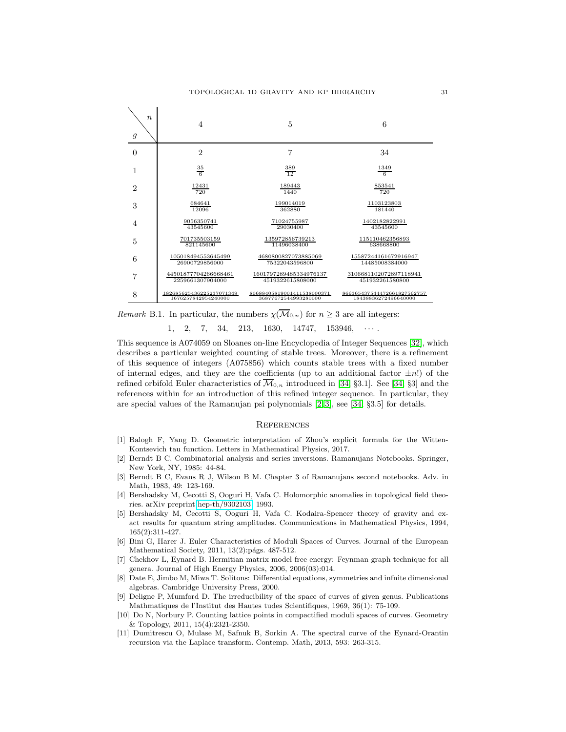

*Remark* B.1. In particular, the numbers  $\chi(\overline{\mathcal{M}}_{0,n})$  for  $n \geq 3$  are all integers:

 $1, 2, 7, 34, 213, 1630, 14747, 153946, \cdots$ 

This sequence is A074059 on Sloanes on-line Encyclopedia of Integer Sequences [\[32\]](#page-31-30), which describes a particular weighted counting of stable trees. Moreover, there is a refinement of this sequence of integers (A075856) which counts stable trees with a fixed number of internal edges, and they are the coefficients (up to an additional factor  $\pm n!$ ) of the refined orbifold Euler characteristics of  $\overline{\mathcal{M}}_{0,n}$  introduced in [\[34,](#page-31-0) §3.1]. See [34, §3] and the references within for an introduction of this refined integer sequence. In particular, they are special values of the Ramanujan psi polynomials [\[2,](#page-30-9) [3\]](#page-30-10), see [\[34,](#page-31-0) §3.5] for details.

### **REFERENCES**

- <span id="page-30-8"></span>[1] Balogh F, Yang D. Geometric interpretation of Zhou's explicit formula for the Witten-Kontsevich tau function. Letters in Mathematical Physics, 2017.
- <span id="page-30-9"></span>[2] Berndt B C. Combinatorial analysis and series inversions. Ramanujans Notebooks. Springer, New York, NY, 1985: 44-84.
- <span id="page-30-10"></span>[3] Berndt B C, Evans R J, Wilson B M. Chapter 3 of Ramanujans second notebooks. Adv. in Math, 1983, 49: 123-169.
- <span id="page-30-3"></span>[4] Bershadsky M, Cecotti S, Ooguri H, Vafa C. Holomorphic anomalies in topological field theories. arXiv preprint [hep-th/9302103,](http://arxiv.org/abs/hep-th/9302103) 1993.
- <span id="page-30-4"></span>[5] Bershadsky M, Cecotti S, Ooguri H, Vafa C. Kodaira-Spencer theory of gravity and exact results for quantum string amplitudes. Communications in Mathematical Physics, 1994, 165(2):311-427.
- <span id="page-30-1"></span>[6] Bini G, Harer J. Euler Characteristics of Moduli Spaces of Curves. Journal of the European Mathematical Society, 2011, 13(2): págs. 487-512.
- <span id="page-30-6"></span>[7] Chekhov L, Eynard B. Hermitian matrix model free energy: Feynman graph technique for all genera. Journal of High Energy Physics, 2006, 2006(03):014.
- <span id="page-30-5"></span>[8] Date E, Jimbo M, Miwa T. Solitons: Differential equations, symmetries and infnite dimensional algebras. Cambridge University Press, 2000.
- <span id="page-30-0"></span>[9] Deligne P, Mumford D. The irreducibility of the space of curves of given genus. Publications Mathmatiques de l'Institut des Hautes tudes Scientifiques, 1969, 36(1): 75-109.
- <span id="page-30-2"></span>[10] Do N, Norbury P. Counting lattice points in compactified moduli spaces of curves. Geometry & Topology, 2011, 15(4):2321-2350.
- <span id="page-30-7"></span>[11] Dumitrescu O, Mulase M, Safnuk B, Sorkin A. The spectral curve of the Eynard-Orantin recursion via the Laplace transform. Contemp. Math, 2013, 593: 263-315.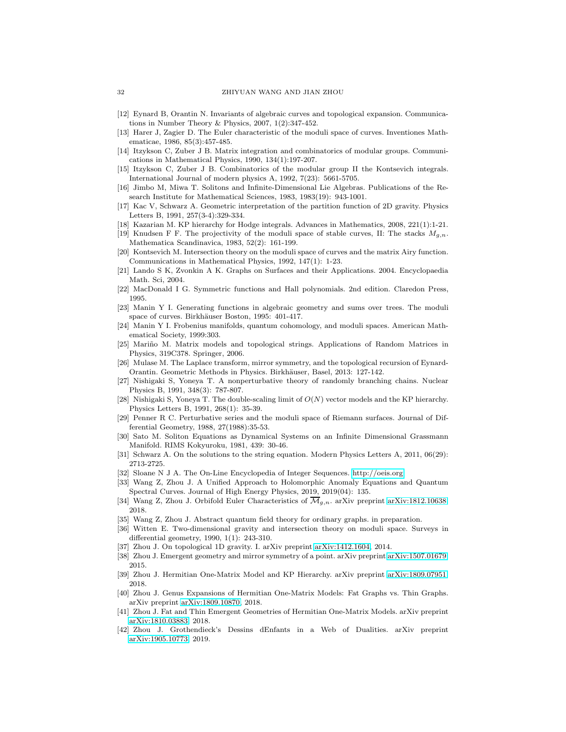- <span id="page-31-18"></span><span id="page-31-4"></span>[12] Eynard B, Orantin N. Invariants of algebraic curves and topological expansion. Communications in Number Theory & Physics, 2007, 1(2):347-452.
- [13] Harer J, Zagier D. The Euler characteristic of the moduli space of curves. Inventiones Mathematicae, 1986, 85(3):457-485.
- <span id="page-31-25"></span>[14] Itzykson C, Zuber J B. Matrix integration and combinatorics of modular groups. Communications in Mathematical Physics, 1990, 134(1):197-207.
- <span id="page-31-15"></span>[15] Itzykson C, Zuber J B. Combinatorics of the modular group II the Kontsevich integrals. International Journal of modern physics A, 1992, 7(23): 5661-5705.
- <span id="page-31-11"></span>[16] Jimbo M, Miwa T. Solitons and Infinite-Dimensional Lie Algebras. Publications of the Research Institute for Mathematical Sciences, 1983, 1983(19): 943-1001.
- <span id="page-31-28"></span>[17] Kac V, Schwarz A. Geometric interpretation of the partition function of 2D gravity. Physics Letters B, 1991, 257(3-4):329-334.
- <span id="page-31-17"></span><span id="page-31-3"></span>[18] Kazarian M. KP hierarchy for Hodge integrals. Advances in Mathematics, 2008, 221(1):1-21.
- [19] Knudsen F F. The projectivity of the moduli space of stable curves, II: The stacks  $M_{g,n}$ . Mathematica Scandinavica, 1983, 52(2): 161-199.
- <span id="page-31-1"></span>[20] Kontsevich M. Intersection theory on the moduli space of curves and the matrix Airy function. Communications in Mathematical Physics, 1992, 147(1): 1-23.
- <span id="page-31-20"></span>[21] Lando S K, Zvonkin A K. Graphs on Surfaces and their Applications. 2004. Encyclopaedia Math. Sci, 2004.
- <span id="page-31-27"></span><span id="page-31-6"></span>[22] MacDonald I G. Symmetric functions and Hall polynomials. 2nd edition. Claredon Press, 1995.
- [23] Manin Y I. Generating functions in algebraic geometry and sums over trees. The moduli space of curves. Birkhäuser Boston, 1995: 401-417.
- <span id="page-31-7"></span>[24] Manin Y I. Frobenius manifolds, quantum cohomology, and moduli spaces. American Mathematical Society, 1999:303.
- <span id="page-31-22"></span>[25] Mariño M. Matrix models and topological strings. Applications of Random Matrices in Physics, 319C378. Springer, 2006.
- <span id="page-31-21"></span>[26] Mulase M. The Laplace transform, mirror symmetry, and the topological recursion of Eynard-Orantin. Geometric Methods in Physics. Birkhäuser, Basel, 2013: 127-142.
- <span id="page-31-9"></span>[27] Nishigaki S, Yoneya T. A nonperturbative theory of randomly branching chains. Nuclear Physics B, 1991, 348(3): 787-807.
- <span id="page-31-14"></span>[28] Nishigaki S, Yoneya T. The double-scaling limit of  $O(N)$  vector models and the KP hierarchy. Physics Letters B, 1991, 268(1): 35-39.
- <span id="page-31-5"></span>[29] Penner R C. Perturbative series and the moduli space of Riemann surfaces. Journal of Differential Geometry, 1988, 27(1988):35-53.
- <span id="page-31-12"></span>[30] Sato M. Soliton Equations as Dynamical Systems on an Infinite Dimensional Grassmann Manifold. RIMS Kokyuroku, 1981, 439: 30-46.
- <span id="page-31-30"></span><span id="page-31-29"></span>[31] Schwarz A. On the solutions to the string equation. Modern Physics Letters A, 2011, 06(29): 2713-2725.
- <span id="page-31-8"></span>[32] Sloane N J A. The On-Line Encyclopedia of Integer Sequences. [http://oeis.org.](http://oeis.org)
- [33] Wang Z, Zhou J. A Unified Approach to Holomorphic Anomaly Equations and Quantum Spectral Curves. Journal of High Energy Physics, 2019, 2019(04): 135.
- <span id="page-31-16"></span><span id="page-31-0"></span>[34] Wang Z, Zhou J. Orbifold Euler Characteristics of  $\overline{\mathcal{M}}_{g,n}$ . arXiv preprint [arXiv:1812.10638,](http://arxiv.org/abs/1812.10638) 2018.
- <span id="page-31-2"></span>[35] Wang Z, Zhou J. Abstract quantum field theory for ordinary graphs. in preparation.
- [36] Witten E. Two-dimensional gravity and intersection theory on moduli space. Surveys in differential geometry, 1990, 1(1): 243-310.
- <span id="page-31-23"></span><span id="page-31-10"></span>[37] Zhou J. On topological 1D gravity. I. arXiv preprint [arXiv:1412.1604,](http://arxiv.org/abs/1412.1604) 2014.
- <span id="page-31-24"></span>[38] Zhou J. Emergent geometry and mirror symmetry of a point. arXiv preprint [arXiv:1507.01679,](http://arxiv.org/abs/1507.01679) 2015.
- [39] Zhou J. Hermitian One-Matrix Model and KP Hierarchy. arXiv preprint [arXiv:1809.07951,](http://arxiv.org/abs/1809.07951) 2018.
- <span id="page-31-13"></span>[40] Zhou J. Genus Expansions of Hermitian One-Matrix Models: Fat Graphs vs. Thin Graphs. arXiv preprint [arXiv:1809.10870,](http://arxiv.org/abs/1809.10870) 2018.
- <span id="page-31-19"></span>[41] Zhou J. Fat and Thin Emergent Geometries of Hermitian One-Matrix Models. arXiv preprint [arXiv:1810.03883,](http://arxiv.org/abs/1810.03883) 2018.
- <span id="page-31-26"></span>[42] Zhou J. Grothendieck's Dessins dEnfants in a Web of Dualities. arXiv preprint [arXiv:1905.10773,](http://arxiv.org/abs/1905.10773) 2019.